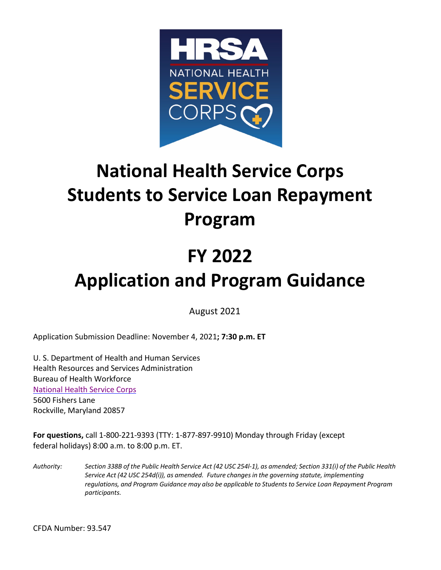

# **National Health Service Corps Students to Service Loan Repayment Program**

# **FY 2022 Application and Program Guidance**

August 2021

Application Submission Deadline: November 4, 2021**; 7:30 p.m. ET**

U. S. Department of Health and Human Services Health Resources and Services Administration Bureau of Health Workforce [National Health Service Corps](http://nhsc.hrsa.gov/) 5600 Fishers Lane Rockville, Maryland 20857

**For questions,** call 1-800-221-9393 (TTY: 1-877-897-9910) Monday through Friday (except federal holidays) 8:00 a.m. to 8:00 p.m. ET.

Authority: Section 338B of the Public Health Service Act (42 USC 254l-1), as amended; Section 331(i) of the Public Health *Service Act (42 USC 254d(i)), as amended. Future changesin the governing statute, implementing regulations, and Program Guidance may also be applicable to Studentsto Service Loan Repayment Program participants.*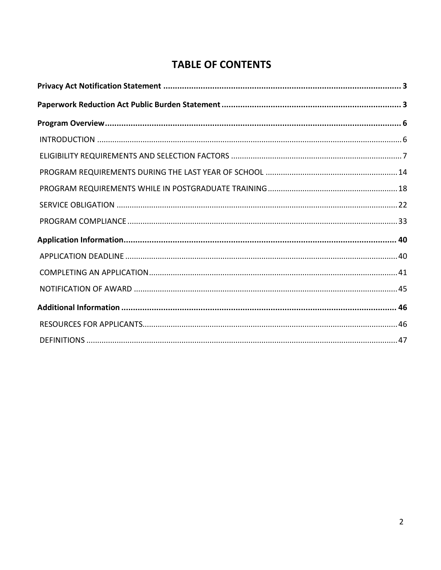# **TABLE OF CONTENTS**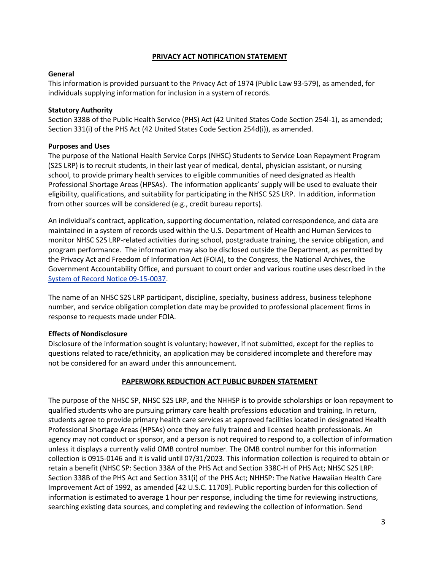#### **PRIVACY ACT NOTIFICATION STATEMENT**

#### <span id="page-2-0"></span>**General**

This information is provided pursuant to the Privacy Act of 1974 (Public Law 93-579), as amended, for individuals supplying information for inclusion in a system of records.

#### **Statutory Authority**

Section 338B of the Public Health Service (PHS) Act (42 United States Code Section 254l-1), as amended; Section 331(i) of the PHS Act (42 United States Code Section 254d(i)), as amended.

#### **Purposes and Uses**

The purpose of the National Health Service Corps (NHSC) Students to Service Loan Repayment Program (S2S LRP) is to recruit students, in their last year of medical, dental, physician assistant, or nursing school, to provide primary health services to eligible communities of need designated as Health Professional Shortage Areas (HPSAs). The information applicants' supply will be used to evaluate their eligibility, qualifications, and suitability for participating in the NHSC S2S LRP. In addition, information from other sources will be considered (e.g., credit bureau reports).

. [System of Record Notice 09-15-0037](http://www.hrsa.gov/about/privacyact/09150037.html) An individual's contract, application, supporting documentation, related correspondence, and data are maintained in a system of records used within the U.S. Department of Health and Human Services to monitor NHSC S2S LRP-related activities during school, postgraduate training, the service obligation, and program performance. The information may also be disclosed outside the Department, as permitted by the Privacy Act and Freedom of Information Act (FOIA), to the Congress, the National Archives, the Government Accountability Office, and pursuant to court order and various routine uses described in the

The name of an NHSC S2S LRP participant, discipline, specialty, business address, business telephone number, and service obligation completion date may be provided to professional placement firms in response to requests made under FOIA.

#### **Effects of Nondisclosure**

Disclosure of the information sought is voluntary; however, if not submitted, except for the replies to questions related to race/ethnicity, an application may be considered incomplete and therefore may not be considered for an award under this announcement.

#### **PAPERWORK REDUCTION ACT PUBLIC BURDEN STATEMENT**

<span id="page-2-1"></span>The purpose of the NHSC SP, NHSC S2S LRP, and the NHHSP is to provide scholarships or loan repayment to qualified students who are pursuing primary care health professions education and training. In return, students agree to provide primary health care services at approved facilities located in designated Health Professional Shortage Areas (HPSAs) once they are fully trained and licensed health professionals. An agency may not conduct or sponsor, and a person is not required to respond to, a collection of information unless it displays a currently valid OMB control number. The OMB control number for this information collection is 0915-0146 and it is valid until 07/31/2023. This information collection is required to obtain or retain a benefit (NHSC SP: Section 338A of the PHS Act and Section 338C-H of PHS Act; NHSC S2S LRP: Section 338B of the PHS Act and Section 331(i) of the PHS Act; NHHSP: The Native Hawaiian Health Care Improvement Act of 1992, as amended [42 U.S.C. 11709]. Public reporting burden for this collection of information is estimated to average 1 hour per response, including the time for reviewing instructions, searching existing data sources, and completing and reviewing the collection of information. Send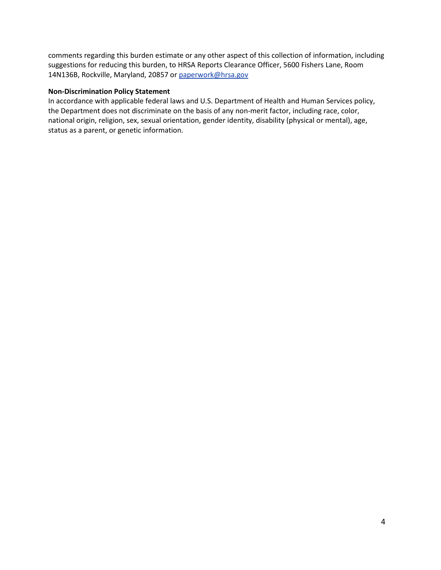comments regarding this burden estimate or any other aspect of this collection of information, including suggestions for reducing this burden, to HRSA Reports Clearance Officer, 5600 Fishers Lane, Room 14N136B, Rockville, Maryland, 20857 or [paperwork@hrsa.gov](mailto:paperwork@hrsa.gov)

#### **Non-Discrimination Policy Statement**

In accordance with applicable federal laws and U.S. Department of Health and Human Services policy, the Department does not discriminate on the basis of any non-merit factor, including race, color, national origin, religion, sex, sexual orientation, gender identity, disability (physical or mental), age, status as a parent, or genetic information.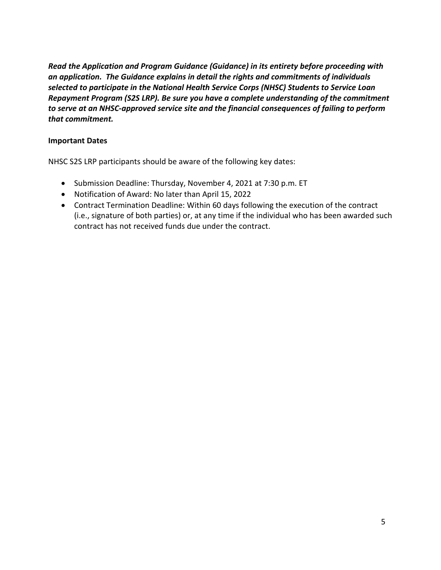*Read the Application and Program Guidance (Guidance) in its entirety before proceeding with an application. The Guidance explains in detail the rights and commitments of individuals selected to participate in the National Health Service Corps (NHSC) Students to Service Loan Repayment Program (S2S LRP). Be sure you have a complete understanding of the commitment to serve at an NHSC-approved service site and the financial consequences of failing to perform that commitment.*

#### **Important Dates**

NHSC S2S LRP participants should be aware of the following key dates:

- Submission Deadline: Thursday, November 4, 2021 at 7:30 p.m. ET
- Notification of Award: No later than April 15, 2022
- Contract Termination Deadline: Within 60 days following the execution of the contract (i.e., signature of both parties) or, at any time if the individual who has been awarded such contract has not received funds due under the contract.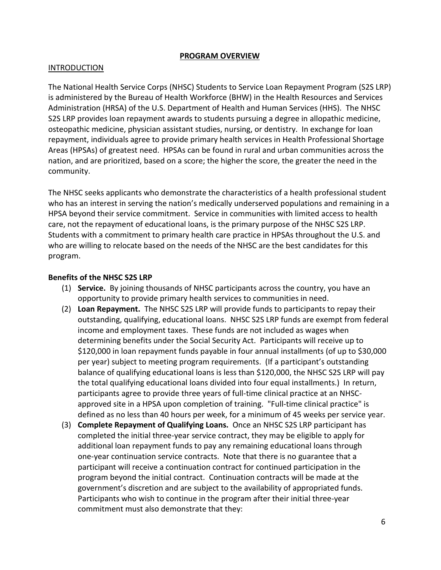#### **PROGRAM OVERVIEW**

#### <span id="page-5-1"></span><span id="page-5-0"></span>INTRODUCTION

The National Health Service Corps (NHSC) Students to Service Loan Repayment Program (S2S LRP) is administered by the Bureau of Health Workforce (BHW) in the Health Resources and Services Administration (HRSA) of the U.S. Department of Health and Human Services (HHS). The NHSC S2S LRP provides loan repayment awards to students pursuing a degree in allopathic medicine, osteopathic medicine, physician assistant studies, nursing, or dentistry. In exchange for loan repayment, individuals agree to provide primary health services in Health Professional Shortage Areas (HPSAs) of greatest need. HPSAs can be found in rural and urban communities across the nation, and are prioritized, based on a score; the higher the score, the greater the need in the community.

The NHSC seeks applicants who demonstrate the characteristics of a health professional student who has an interest in serving the nation's medically underserved populations and remaining in a HPSA beyond their service commitment. Service in communities with limited access to health care, not the repayment of educational loans, is the primary purpose of the NHSC S2S LRP. Students with a commitment to primary health care practice in HPSAs throughout the U.S. and who are willing to relocate based on the needs of the NHSC are the best candidates for this program.

#### **Benefits of the NHSC S2S LRP**

- (1) **Service.** By joining thousands of NHSC participants across the country, you have an opportunity to provide primary health services to communities in need.
- (2) **Loan Repayment.** The NHSC S2S LRP will provide funds to participants to repay their outstanding, qualifying, educational loans. NHSC S2S LRP funds are exempt from federal income and employment taxes. These funds are not included as wages when determining benefits under the Social Security Act. Participants will receive up to \$120,000 in loan repayment funds payable in four annual installments (of up to \$30,000 per year) subject to meeting program requirements. (If a participant's outstanding balance of qualifying educational loans is less than \$120,000, the NHSC S2S LRP will pay the total qualifying educational loans divided into four equal installments.) In return, participants agree to provide three years of full-time clinical practice at an NHSCapproved site in a HPSA upon completion of training. "Full-time clinical practice" is defined as no less than 40 hours per week, for a minimum of 45 weeks per service year.
- (3) **Complete Repayment of Qualifying Loans.** Once an NHSC S2S LRP participant has completed the initial three-year service contract, they may be eligible to apply for additional loan repayment funds to pay any remaining educational loans through one-year continuation service contracts. Note that there is no guarantee that a participant will receive a continuation contract for continued participation in the program beyond the initial contract. Continuation contracts will be made at the government's discretion and are subject to the availability of appropriated funds. Participants who wish to continue in the program after their initial three-year commitment must also demonstrate that they: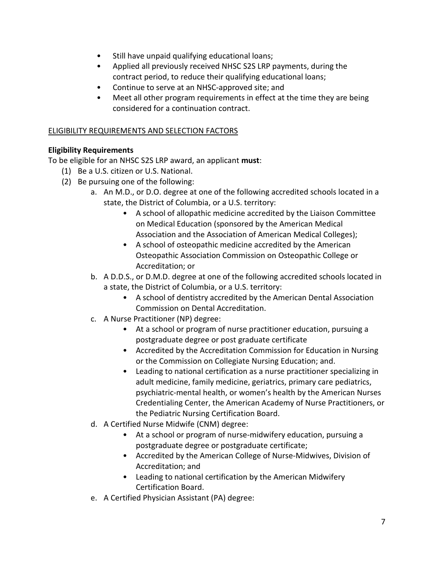- Still have unpaid qualifying educational loans;
- Applied all previously received NHSC S2S LRP payments, during the contract period, to reduce their qualifying educational loans;
- Continue to serve at an NHSC-approved site; and
- Meet all other program requirements in effect at the time they are being considered for a continuation contract.

#### <span id="page-6-0"></span>ELIGIBILITY REQUIREMENTS AND SELECTION FACTORS

# <span id="page-6-1"></span>**Eligibility Requirements**

To be eligible for an NHSC S2S LRP award, an applicant **must**:

- (1) Be a U.S. citizen or U.S. National.
- (2) Be pursuing one of the following:
	- a. An M.D., or D.O. degree at one of the following accredited schools located in a state, the District of Columbia, or a U.S. territory:
		- A school of allopathic medicine accredited by the Liaison Committee on Medical Education (sponsored by the American Medical Association and the Association of American Medical Colleges);
		- A school of osteopathic medicine accredited by the American Osteopathic Association Commission on Osteopathic College or Accreditation; or
	- b. A D.D.S., or D.M.D. degree at one of the following accredited schools located in a state, the District of Columbia, or a U.S. territory:
		- A school of dentistry accredited by the American Dental Association Commission on Dental Accreditation.
	- c. A Nurse Practitioner (NP) degree:
		- At a school or program of nurse practitioner education, pursuing a postgraduate degree or post graduate certificate
		- Accredited by the Accreditation Commission for Education in Nursing or the Commission on Collegiate Nursing Education; and.
		- Leading to national certification as a nurse practitioner specializing in adult medicine, family medicine, geriatrics, primary care pediatrics, psychiatric-mental health, or women's health by the American Nurses Credentialing Center, the American Academy of Nurse Practitioners, or the Pediatric Nursing Certification Board.
	- d. A Certified Nurse Midwife (CNM) degree:
		- At a school or program of nurse-midwifery education, pursuing a postgraduate degree or postgraduate certificate;
		- Accredited by the American College of Nurse-Midwives, Division of Accreditation; and
		- Leading to national certification by the American Midwifery Certification Board.
	- e. A Certified Physician Assistant (PA) degree: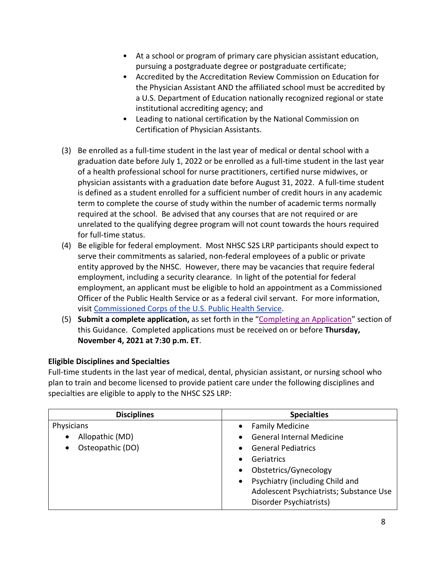- At a school or program of primary care physician assistant education, pursuing a postgraduate degree or postgraduate certificate;
- Accredited by the Accreditation Review Commission on Education for the Physician Assistant AND the affiliated school must be accredited by a U.S. Department of Education nationally recognized regional or state institutional accrediting agency; and
- Leading to national certification by the National Commission on Certification of Physician Assistants.
- (3) Be enrolled as a full-time student in the last year of medical or dental school with a graduation date before July 1, 2022 or be enrolled as a full-time student in the last year of a health professional school for nurse practitioners, certified nurse midwives, or physician assistants with a graduation date before August 31, 2022. A full-time student is defined as a student enrolled for a sufficient number of credit hours in any academic term to complete the course of study within the number of academic terms normally required at the school. Be advised that any courses that are not required or are unrelated to the qualifying degree program will not count towards the hours required for full-time status.
- (4) Be eligible for federal employment. Most NHSC S2S LRP participants should expect to serve their commitments as salaried, non-federal employees of a public or private entity approved by the NHSC. However, there may be vacancies that require federal employment, including a security clearance. In light of the potential for federal employment, an applicant must be eligible to hold an appointment as a Commissioned Officer of the Public Health Service or as a federal civil servant. For more information, visit Commissioned [Corps of the U.S. Public Health Service.](https://www.usphs.gov/about-us)
- (5) **Submit a complete application,** as set forth in the ["Completing an Application"](#page-39-2) section of this Guidance. Completed applications must be received on or before **Thursday, November 4, 2021 at 7:30 p.m. ET**.

# **Eligible Disciplines and Specialties**

Full-time students in the last year of medical, dental, physician assistant, or nursing school who plan to train and become licensed to provide patient care under the following disciplines and specialties are eligible to apply to the NHSC S2S LRP:

| <b>Disciplines</b> | <b>Specialties</b>                      |  |
|--------------------|-----------------------------------------|--|
| Physicians         | <b>Family Medicine</b>                  |  |
| Allopathic (MD)    | <b>General Internal Medicine</b>        |  |
| Osteopathic (DO)   | <b>General Pediatrics</b>               |  |
|                    | Geriatrics                              |  |
|                    | Obstetrics/Gynecology                   |  |
|                    | Psychiatry (including Child and         |  |
|                    | Adolescent Psychiatrists; Substance Use |  |
|                    | Disorder Psychiatrists)                 |  |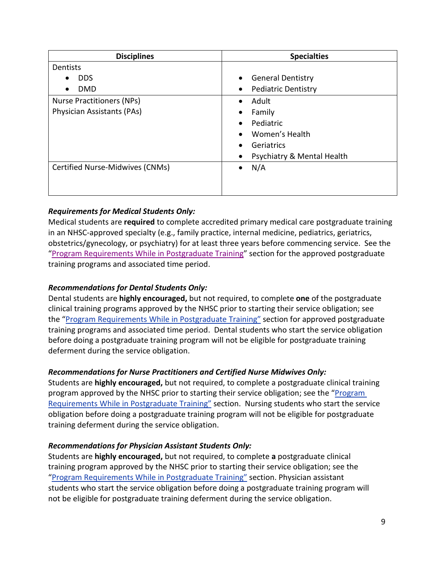| <b>Disciplines</b>               | <b>Specialties</b>                      |  |  |
|----------------------------------|-----------------------------------------|--|--|
| Dentists                         |                                         |  |  |
| <b>DDS</b>                       | <b>General Dentistry</b>                |  |  |
| <b>DMD</b><br>٠                  | <b>Pediatric Dentistry</b><br>$\bullet$ |  |  |
| <b>Nurse Practitioners (NPs)</b> | Adult<br>$\bullet$                      |  |  |
| Physician Assistants (PAs)       | Family<br>$\bullet$                     |  |  |
|                                  | Pediatric<br>$\bullet$                  |  |  |
|                                  | Women's Health                          |  |  |
|                                  | Geriatrics                              |  |  |
|                                  | Psychiatry & Mental Health<br>$\bullet$ |  |  |
| Certified Nurse-Midwives (CNMs)  | N/A<br>$\bullet$                        |  |  |
|                                  |                                         |  |  |
|                                  |                                         |  |  |

# *Requirements for Medical Students Only:*

Medical students are **required** to complete accredited primary medical care postgraduate training in an NHSC-approved specialty (e.g., family practice, internal medicine, pediatrics, geriatrics, obstetrics/gynecology, or psychiatry) for at least three years before commencing service. See the ["Program Requirements While in Postgraduate Training"](#page-17-0) section for the approved postgraduate training programs and associated time period.

# *Recommendations for Dental Students Only:*

Dental students are **highly encouraged,** but not required, to complete **one** of the postgraduate clinical training programs approved by the NHSC prior to starting their service obligation; see the ["Program Requirements While in Postgraduate Training"](#page-17-0) section for approved postgraduate training programs and associated time period. Dental students who start the service obligation before doing a postgraduate training program will not be eligible for postgraduate training deferment during the service obligation.

# *Recommendations for Nurse Practitioners and Certified Nurse Midwives Only:*

Students are **highly encouraged,** but not required, to complete a postgraduate clinical training program approved by the NHSC prior to starting their service obligation; see the ["Program](#page-17-0)  [Requirements While in Postgraduate Training"](#page-17-0) section. Nursing students who start the service obligation before doing a postgraduate training program will not be eligible for postgraduate training deferment during the service obligation.

# *Recommendations for Physician Assistant Students Only:*

Students are **highly encouraged,** but not required, to complete **a** postgraduate clinical training program approved by the NHSC prior to starting their service obligation; see the ["Program Requirements While in Postgraduate Training" s](#page-17-0)ection. Physician assistant students who start the service obligation before doing a postgraduate training program will not be eligible for postgraduate training deferment during the service obligation.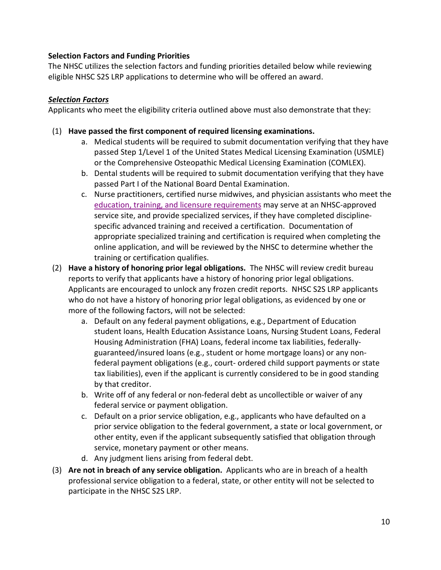# **Selection Factors and Funding Priorities**

The NHSC utilizes the selection factors and funding priorities detailed below while reviewing eligible NHSC S2S LRP applications to determine who will be offered an award.

#### *Selection Factors*

Applicants who meet the eligibility criteria outlined above must also demonstrate that they:

- (1) **Have passed the first component of required licensing examinations.**
	- a. Medical students will be required to submit documentation verifying that they have passed Step 1/Level 1 of the United States Medical Licensing Examination (USMLE) or the Comprehensive Osteopathic Medical Licensing Examination (COMLEX).
	- b. Dental students will be required to submit documentation verifying that they have passed Part I of the National Board Dental Examination.
	- c. Nurse practitioners, certified nurse midwives, and physician assistants who meet the [education, training, and licensure requirements](#page-13-0) may serve at an NHSC-approved service site, and provide specialized services, if they have completed disciplinespecific advanced training and received a certification. Documentation of appropriate specialized training and certification is required when completing the online application, and will be reviewed by the NHSC to determine whether the training or certification qualifies.
- (2) **Have a history of honoring prior legal obligations.** The NHSC will review credit bureau reports to verify that applicants have a history of honoring prior legal obligations. Applicants are encouraged to unlock any frozen credit reports.NHSC S2S LRP applicants who do not have a history of honoring prior legal obligations, as evidenced by one or more of the following factors, will not be selected:
	- a. Default on any federal payment obligations, e.g., Department of Education student loans, Health Education Assistance Loans, Nursing Student Loans, Federal Housing Administration (FHA) Loans, federal income tax liabilities, federallyguaranteed/insured loans (e.g., student or home mortgage loans) or any nonfederal payment obligations (e.g., court- ordered child support payments or state tax liabilities), even if the applicant is currently considered to be in good standing by that creditor.
	- b. Write off of any federal or non-federal debt as uncollectible or waiver of any federal service or payment obligation.
	- c. Default on a prior service obligation, e.g., applicants who have defaulted on a prior service obligation to the federal government, a state or local government, or other entity, even if the applicant subsequently satisfied that obligation through service, monetary payment or other means.
	- d. Any judgment liens arising from federal debt.
- (3) **Are not in breach of any service obligation.** Applicants who are in breach of a health professional service obligation to a federal, state, or other entity will not be selected to participate in the NHSC S2S LRP.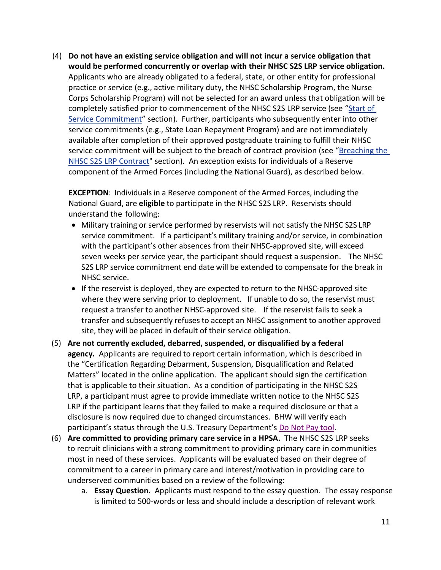(4) **Do not have an existing service obligation and will not incur a service obligation that would be performed concurrently or overlap with their NHSC S2S LRP service obligation.**  Applicants who are already obligated to a federal, state, or other entity for professional practice or service (e.g., active military duty, the NHSC Scholarship Program, the Nurse Corps Scholarship Program) will not be selected for an award unless that obligation will be completely satisfied prior to commencement of the NHSC S2S LRP service (see ["Start of](#page-23-0)  [Service Commitment"](#page-23-0) section). Further, participants who subsequently enter into other service commitments (e.g., State Loan Repayment Program) and are not immediately available after completion of their approved postgraduate training to fulfill their NHSC service commitment will be subject to the breach of contract provision (see ["Breaching the](#page-36-0)  [NHSC S2S LRP Contract"](#page-36-0) section). An exception exists for individuals of a Reserve component of the Armed Forces (including the National Guard), as described below.

**EXCEPTION**: Individuals in a Reserve component of the Armed Forces, including the National Guard, are **eligible** to participate in the NHSC S2S LRP. Reservists should understand the following:

- Military training or service performed by reservists will not satisfy the NHSC S2S LRP service commitment. If a participant's military training and/or service, in combination with the participant's other absences from their NHSC-approved site, will exceed seven weeks per service year, the participant should request a suspension. The NHSC S2S LRP service commitment end date will be extended to compensate for the break in NHSC service.
- If the reservist is deployed, they are expected to return to the NHSC-approved site where they were serving prior to deployment. If unable to do so, the reservist must request a transfer to another NHSC-approved site. If the reservist fails to seek a transfer and subsequently refuses to accept an NHSC assignment to another approved site, they will be placed in default of their service obligation.
- participant's status through the U.S. Treasury Department's [Do Not Pay tool](https://donotpay.treas.gov/). (5) **Are not currently excluded, debarred, suspended, or disqualified by a federal agency.** Applicants are required to report certain information, which is described in the "Certification Regarding Debarment, Suspension, Disqualification and Related Matters" located in the online application. The applicant should sign the certification that is applicable to their situation. As a condition of participating in the NHSC S2S LRP, a participant must agree to provide immediate written notice to the NHSC S2S LRP if the participant learns that they failed to make a required disclosure or that a disclosure is now required due to changed circumstances. BHW will verify each
- (6) **Are committed to providing primary care service in a HPSA.** The NHSC S2S LRP seeks to recruit clinicians with a strong commitment to providing primary care in communities most in need of these services. Applicants will be evaluated based on their degree of commitment to a career in primary care and interest/motivation in providing care to underserved communities based on a review of the following:
	- a. **Essay Question.** Applicants must respond to the essay question. The essay response is limited to 500-words or less and should include a description of relevant work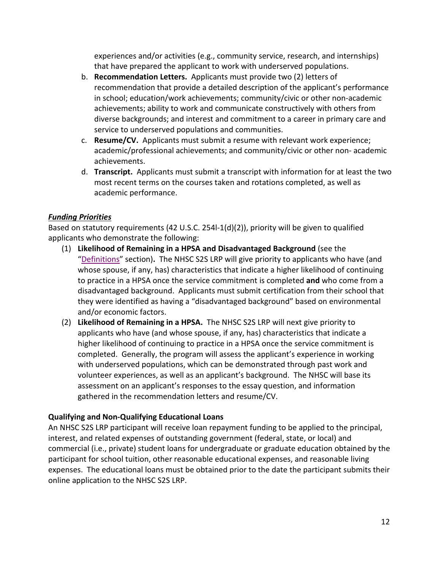experiences and/or activities (e.g., community service, research, and internships) that have prepared the applicant to work with underserved populations.

- b. **Recommendation Letters.** Applicants must provide two (2) letters of recommendation that provide a detailed description of the applicant's performance in school; education/work achievements; community/civic or other non-academic achievements; ability to work and communicate constructively with others from diverse backgrounds; and interest and commitment to a career in primary care and service to underserved populations and communities.
- c. **Resume/CV.** Applicants must submit a resume with relevant work experience; academic/professional achievements; and community/civic or other non- academic achievements.
- d. **Transcript.** Applicants must submit a transcript with information for at least the two most recent terms on the courses taken and rotations completed, as well as academic performance.

# *Funding Priorities*

Based on statutory requirements (42 U.S.C. 254l-1(d)(2)), priority will be given to qualified applicants who demonstrate the following:

- (1) **Likelihood of Remaining in a HPSA and Disadvantaged Background** (see the ["Definitions"](#page-46-0) section)**.** The NHSC S2S LRP will give priority to applicants who have (and whose spouse, if any, has) characteristics that indicate a higher likelihood of continuing to practice in a HPSA once the service commitment is completed **and** who come from a disadvantaged background. Applicants must submit certification from their school that they were identified as having a "disadvantaged background" based on environmental and/or economic factors.
- (2) **Likelihood of Remaining in a HPSA.** The NHSC S2S LRP will next give priority to applicants who have (and whose spouse, if any, has) characteristics that indicate a higher likelihood of continuing to practice in a HPSA once the service commitment is completed. Generally, the program will assess the applicant's experience in working with underserved populations, which can be demonstrated through past work and volunteer experiences, as well as an applicant's background. The NHSC will base its assessment on an applicant's responses to the essay question, and information gathered in the recommendation letters and resume/CV.

# **Qualifying and Non-Qualifying Educational Loans**

An NHSC S2S LRP participant will receive loan repayment funding to be applied to the principal, interest, and related expenses of outstanding government (federal, state, or local) and commercial (i.e., private) student loans for undergraduate or graduate education obtained by the participant for school tuition, other reasonable educational expenses, and reasonable living expenses. The educational loans must be obtained prior to the date the participant submits their online application to the NHSC S2S LRP.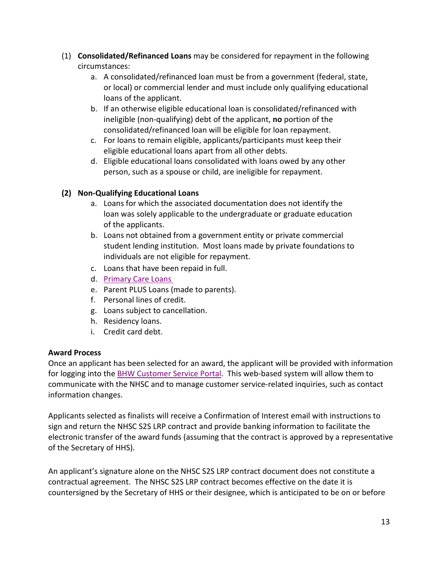- (1) **Consolidated/Refinanced Loans** may be considered for repayment in the following circumstances:
	- a. A consolidated/refinanced loan must be from a government (federal, state, or local) or commercial lender and must include only qualifying educational loans of the applicant.
	- b. If an otherwise eligible educational loan is consolidated/refinanced with ineligible (non-qualifying) debt of the applicant, **no** portion of the consolidated/refinanced loan will be eligible for loan repayment.
	- c. For loans to remain eligible, applicants/participants must keep their eligible educational loans apart from all other debts.
	- d. Eligible educational loans consolidated with loans owed by any other person, such as a spouse or child, are ineligible for repayment.

# **(2) Non-Qualifying Educational Loans**

- a. Loans for which the associated documentation does not identify the loan was solely applicable to the undergraduate or graduate education of the applicants.
- b. Loans not obtained from a government entity or private commercial student lending institution. Most loans made by private foundations to individuals are not eligible for repayment.
- c. Loans that have been repaid in full.
- d. [Primary Care Loans](https://bhw.hrsa.gov/loansscholarships/schoolbasedloans)
- e. Parent PLUS Loans (made to parents).
- f. Personal lines of credit.
- g. Loans subject to cancellation.
- h. Residency loans.
- i. Credit card debt.

# **Award Process**

Once an applicant has been selected for an award, the applicant will be provided with information for logging into the [BHW Customer Service Portal.](https://programportal.hrsa.gov/) This web-based system will allow them to communicate with the NHSC and to manage customer service-related inquiries, such as contact information changes.

Applicants selected as finalists will receive a Confirmation of Interest email with instructions to sign and return the NHSC S2S LRP contract and provide banking information to facilitate the electronic transfer of the award funds (assuming that the contract is approved by a representative of the Secretary of HHS).

An applicant's signature alone on the NHSC S2S LRP contract document does not constitute a contractual agreement. The NHSC S2S LRP contract becomes effective on the date it is countersigned by the Secretary of HHS or their designee, which is anticipated to be on or before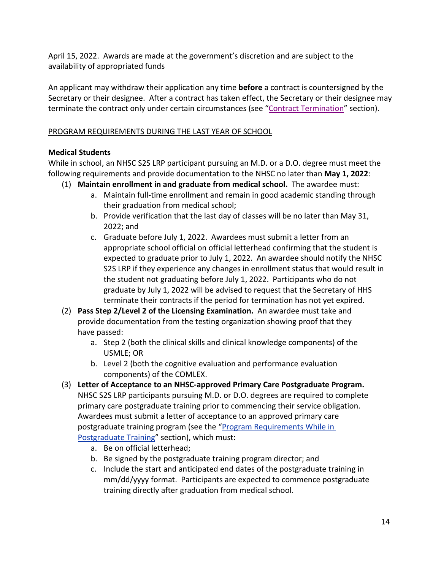April 15, 2022. Awards are made at the government's discretion and are subject to the availability of appropriated funds

terminate the contract only under certain circumstances (see ["Contract Termination](#page-16-0)" section). An applicant may withdraw their application any time **before** a contract is countersigned by the Secretary or their designee. After a contract has taken effect, the Secretary or their designee may

# <span id="page-13-0"></span>PROGRAM REQUIREMENTS DURING THE LAST YEAR OF SCHOOL

# **Medical Students**

While in school, an NHSC S2S LRP participant pursuing an M.D. or a D.O. degree must meet the following requirements and provide documentation to the NHSC no later than **May 1, 2022**:

- (1) **Maintain enrollment in and graduate from medical school.** The awardee must:
	- a. Maintain full-time enrollment and remain in good academic standing through their graduation from medical school;
	- b. Provide verification that the last day of classes will be no later than May 31, 2022; and
	- c. Graduate before July 1, 2022. Awardees must submit a letter from an appropriate school official on official letterhead confirming that the student is expected to graduate prior to July 1, 2022. An awardee should notify the NHSC S2S LRP if they experience any changes in enrollment status that would result in the student not graduating before July 1, 2022. Participants who do not graduate by July 1, 2022 will be advised to request that the Secretary of HHS terminate their contracts if the period for termination has not yet expired.
- (2) **Pass Step 2/Level 2 of the Licensing Examination.** An awardee must take and provide documentation from the testing organization showing proof that they have passed:
	- a. Step 2 (both the clinical skills and clinical knowledge components) of the USMLE; OR
	- b. Level 2 (both the cognitive evaluation and performance evaluation components) of the COMLEX.
- (3) **Letter of Acceptance to an NHSC-approved Primary Care Postgraduate Program.**  NHSC S2S LRP participants pursuing M.D. or D.O. degrees are required to complete primary care postgraduate training prior to commencing their service obligation. Awardees must submit a letter of acceptance to an approved primary care postgraduate training program (see the "Program Requirements While in [Postgraduate Training"](#page-17-0) section), which must:
	- a. Be on official letterhead;
	- b. Be signed by the postgraduate training program director; and
	- c. Include the start and anticipated end dates of the postgraduate training in mm/dd/yyyy format. Participants are expected to commence postgraduate training directly after graduation from medical school.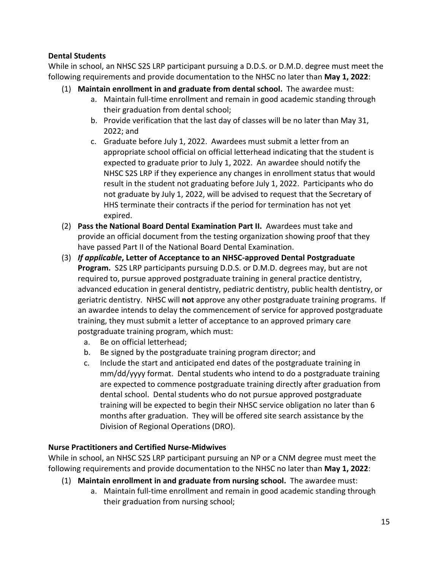# **Dental Students**

While in school, an NHSC S2S LRP participant pursuing a D.D.S. or D.M.D. degree must meet the following requirements and provide documentation to the NHSC no later than **May 1, 2022**:

- (1) **Maintain enrollment in and graduate from dental school.** The awardee must:
	- a. Maintain full-time enrollment and remain in good academic standing through their graduation from dental school;
	- b. Provide verification that the last day of classes will be no later than May 31, 2022; and
	- c. Graduate before July 1, 2022. Awardees must submit a letter from an appropriate school official on official letterhead indicating that the student is expected to graduate prior to July 1, 2022. An awardee should notify the NHSC S2S LRP if they experience any changes in enrollment status that would result in the student not graduating before July 1, 2022. Participants who do not graduate by July 1, 2022, will be advised to request that the Secretary of HHS terminate their contracts if the period for termination has not yet expired.
- (2) **Pass the National Board Dental Examination Part II.** Awardees must take and provide an official document from the testing organization showing proof that they have passed Part II of the National Board Dental Examination.
- (3) *If applicable***, Letter of Acceptance to an NHSC-approved Dental Postgraduate Program.** S2S LRP participants pursuing D.D.S. or D.M.D. degrees may, but are not required to, pursue approved postgraduate training in general practice dentistry, advanced education in general dentistry, pediatric dentistry, public health dentistry, or geriatric dentistry. NHSC will **not** approve any other postgraduate training programs. If an awardee intends to delay the commencement of service for approved postgraduate training, they must submit a letter of acceptance to an approved primary care postgraduate training program, which must:
	- a. Be on official letterhead;
	- b. Be signed by the postgraduate training program director; and
	- c. Include the start and anticipated end dates of the postgraduate training in mm/dd/yyyy format. Dental students who intend to do a postgraduate training are expected to commence postgraduate training directly after graduation from dental school. Dental students who do not pursue approved postgraduate training will be expected to begin their NHSC service obligation no later than 6 months after graduation. They will be offered site search assistance by the Division of Regional Operations (DRO).

# **Nurse Practitioners and Certified Nurse-Midwives**

While in school, an NHSC S2S LRP participant pursuing an NP or a CNM degree must meet the following requirements and provide documentation to the NHSC no later than **May 1, 2022**:

- (1) **Maintain enrollment in and graduate from nursing school.** The awardee must:
	- a. Maintain full-time enrollment and remain in good academic standing through their graduation from nursing school;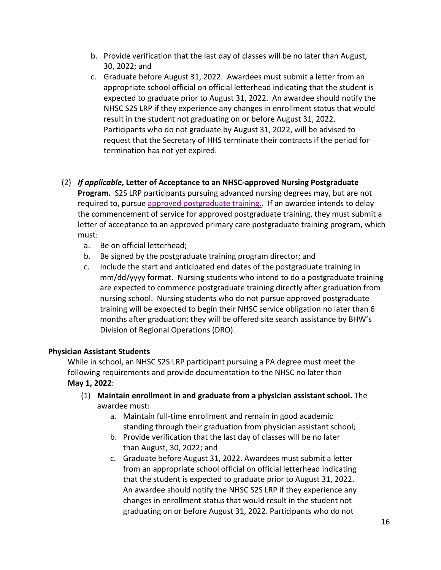- b. Provide verification that the last day of classes will be no later than August, 30, 2022; and
- c. Graduate before August 31, 2022. Awardees must submit a letter from an appropriate school official on official letterhead indicating that the student is expected to graduate prior to August 31, 2022. An awardee should notify the NHSC S2S LRP if they experience any changes in enrollment status that would result in the student not graduating on or before August 31, 2022. Participants who do not graduate by August 31, 2022, will be advised to request that the Secretary of HHS terminate their contracts if the period for termination has not yet expired.

# (2) *If applicable***, Letter of Acceptance to an NHSC-approved Nursing Postgraduate Program.** S2S LRP participants pursuing advanced nursing degrees may, but are not required to, pursue [approved postgraduate training..](#page-19-0) If an awardee intends to delay the commencement of service for approved postgraduate training, they must submit a letter of acceptance to an approved primary care postgraduate training program, which must:

- a. Be on official letterhead;
- b. Be signed by the postgraduate training program director; and
- c. Include the start and anticipated end dates of the postgraduate training in mm/dd/yyyy format. Nursing students who intend to do a postgraduate training are expected to commence postgraduate training directly after graduation from nursing school. Nursing students who do not pursue approved postgraduate training will be expected to begin their NHSC service obligation no later than 6 months after graduation; they will be offered site search assistance by BHW's Division of Regional Operations (DRO).

# **Physician Assistant Students**

While in school, an NHSC S2S LRP participant pursuing a PA degree must meet the following requirements and provide documentation to the NHSC no later than **May 1, 2022**:

- (1) **Maintain enrollment in and graduate from a physician assistant school.** The awardee must:
	- a. Maintain full-time enrollment and remain in good academic standing through their graduation from physician assistant school;
	- b. Provide verification that the last day of classes will be no later than August, 30, 2022; and
	- c. Graduate before August 31, 2022. Awardees must submit a letter from an appropriate school official on official letterhead indicating that the student is expected to graduate prior to August 31, 2022. An awardee should notify the NHSC S2S LRP if they experience any changes in enrollment status that would result in the student not graduating on or before August 31, 2022. Participants who do not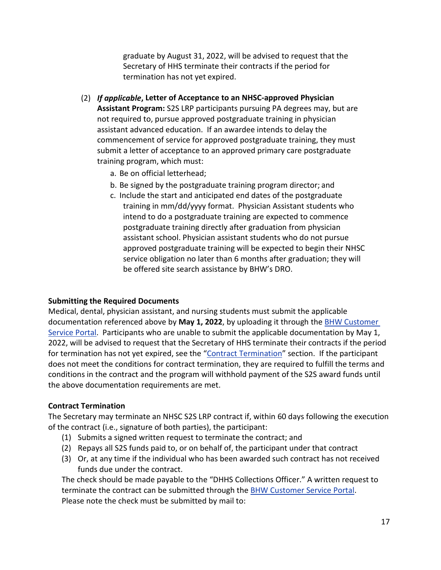graduate by August 31, 2022, will be advised to request that the Secretary of HHS terminate their contracts if the period for termination has not yet expired.

- (2) *If applicable***, Letter of Acceptance to an NHSC-approved Physician Assistant Program:** S2S LRP participants pursuing PA degrees may, but are not required to, pursue approved postgraduate training in physician assistant advanced education. If an awardee intends to delay the commencement of service for approved postgraduate training, they must submit a letter of acceptance to an approved primary care postgraduate training program, which must:
	- a. Be on official letterhead;
	- b. Be signed by the postgraduate training program director; and
	- c. Include the start and anticipated end dates of the postgraduate training in mm/dd/yyyy format. Physician Assistant students who intend to do a postgraduate training are expected to commence postgraduate training directly after graduation from physician assistant school. Physician assistant students who do not pursue approved postgraduate training will be expected to begin their NHSC service obligation no later than 6 months after graduation; they will be offered site search assistance by BHW's DRO.

#### **Submitting the Required Documents**

Medical, dental, physician assistant, and nursing students must submit the applicable documentation referenced above by **May 1, 2022**, by uploading it through the [BHW Customer](https://programportal.hrsa.gov/)  [Service Portal.](https://programportal.hrsa.gov/) Participants who are unable to submit the applicable documentation by May 1, 2022, will be advised to request that the Secretary of HHS terminate their contracts if the period for termination has not yet expired, see the ["Contract Termination"](#page-17-1) section. If the participant does not meet the conditions for contract termination, they are required to fulfill the terms and conditions in the contract and the program will withhold payment of the S2S award funds until the above documentation requirements are met.

#### <span id="page-16-0"></span>**Contract Termination**

The Secretary may terminate an NHSC S2S LRP contract if, within 60 days following the execution of the contract (i.e., signature of both parties), the participant:

- (1) Submits a signed written request to terminate the contract; and
- (2) Repays all S2S funds paid to, or on behalf of, the participant under that contract
- (3) Or, at any time if the individual who has been awarded such contract has not received funds due under the contract.

The check should be made payable to the "DHHS Collections Officer." A written request to terminate the contract can be submitted through the [BHW Customer Service Portal.](https://programportal.hrsa.gov/) Please note the check must be submitted by mail to: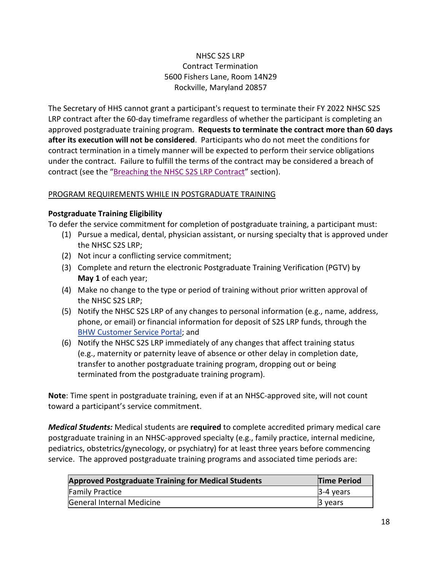# NHSC S2S LRP Contract Termination 5600 Fishers Lane, Room 14N29 Rockville, Maryland 20857

contract (see the ["Breaching the NHSC S2S LRP Contract](#page-36-0)" section). The Secretary of HHS cannot grant a participant's request to terminate their FY 2022 NHSC S2S LRP contract after the 60-day timeframe regardless of whether the participant is completing an approved postgraduate training program. **Requests to terminate the contract more than 60 days after its execution will not be considered**. Participants who do not meet the conditions for contract termination in a timely manner will be expected to perform their service obligations under the contract. Failure to fulfill the terms of the contract may be considered a breach of

#### <span id="page-17-1"></span><span id="page-17-0"></span>PROGRAM REQUIREMENTS WHILE IN POSTGRADUATE TRAINING

#### **Postgraduate Training Eligibility**

To defer the service commitment for completion of postgraduate training, a participant must:

- (1) Pursue a medical, dental, physician assistant, or nursing specialty that is approved under the NHSC S2S LRP;
- (2) Not incur a conflicting service commitment;
- (3) Complete and return the electronic Postgraduate Training Verification (PGTV) by **May 1** of each year;
- (4) Make no change to the type or period of training without prior written approval of the NHSC S2S LRP;
- **[BHW Customer Service Portal](https://programportal.hrsa.gov/); and** (5) Notify the NHSC S2S LRP of any changes to personal information (e.g., name, address, phone, or email) or financial information for deposit of S2S LRP funds, through the
- (6) Notify the NHSC S2S LRP immediately of any changes that affect training status (e.g., maternity or paternity leave of absence or other delay in completion date, transfer to another postgraduate training program, dropping out or being terminated from the postgraduate training program).

**Note**: Time spent in postgraduate training, even if at an NHSC-approved site, will not count toward a participant's service commitment.

*Medical Students:* Medical students are **required** to complete accredited primary medical care postgraduate training in an NHSC-approved specialty (e.g., family practice, internal medicine, pediatrics, obstetrics/gynecology, or psychiatry) for at least three years before commencing service.The approved postgraduate training programs and associated time periods are:

| <b>Approved Postgraduate Training for Medical Students</b> | <b>Time Period</b> |
|------------------------------------------------------------|--------------------|
| <b>Family Practice</b>                                     | $3-4$ years        |
| General Internal Medicine                                  | 3 years            |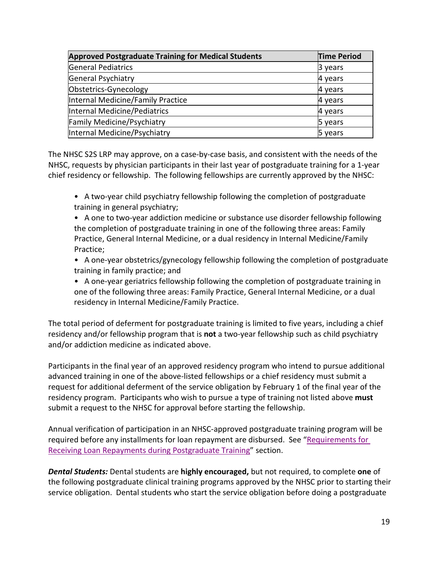| <b>Approved Postgraduate Training for Medical Students</b> | <b>Time Period</b> |
|------------------------------------------------------------|--------------------|
| <b>General Pediatrics</b>                                  | 3 years            |
| General Psychiatry                                         | 4 years            |
| Obstetrics-Gynecology                                      | 4 years            |
| Internal Medicine/Family Practice                          | 4 years            |
| Internal Medicine/Pediatrics                               | 4 years            |
| Family Medicine/Psychiatry                                 | 5 years            |
| Internal Medicine/Psychiatry                               | 5 years            |

The NHSC S2S LRP may approve, on a case-by-case basis, and consistent with the needs of the NHSC, requests by physician participants in their last year of postgraduate training for a 1-year chief residency or fellowship. The following fellowships are currently approved by the NHSC:

• A two-year child psychiatry fellowship following the completion of postgraduate training in general psychiatry;

• A one to two-year addiction medicine or substance use disorder fellowship following the completion of postgraduate training in one of the following three areas: Family Practice, General Internal Medicine, or a dual residency in Internal Medicine/Family Practice;

• A one-year obstetrics/gynecology fellowship following the completion of postgraduate training in family practice; and

• A one-year geriatrics fellowship following the completion of postgraduate training in one of the following three areas: Family Practice, General Internal Medicine, or a dual residency in Internal Medicine/Family Practice.

The total period of deferment for postgraduate training is limited to five years, including a chief residency and/or fellowship program that is **not** a two-year fellowship such as child psychiatry and/or addiction medicine as indicated above.

Participants in the final year of an approved residency program who intend to pursue additional advanced training in one of the above-listed fellowships or a chief residency must submit a request for additional deferment of the service obligation by February 1 of the final year of the residency program. Participants who wish to pursue a type of training not listed above **must** submit a request to the NHSC for approval before starting the fellowship.

[Receiving Loan Repayments during Postgraduate Training](#page-19-1)" section. Annual verification of participation in an NHSC-approved postgraduate training program will be required before any installments for loan repayment are disbursed. See ["Requirements for](#page-19-1) 

*Dental Students:* Dental students are **highly encouraged,** but not required, to complete **one** of the following postgraduate clinical training programs approved by the NHSC prior to starting their service obligation. Dental students who start the service obligation before doing a postgraduate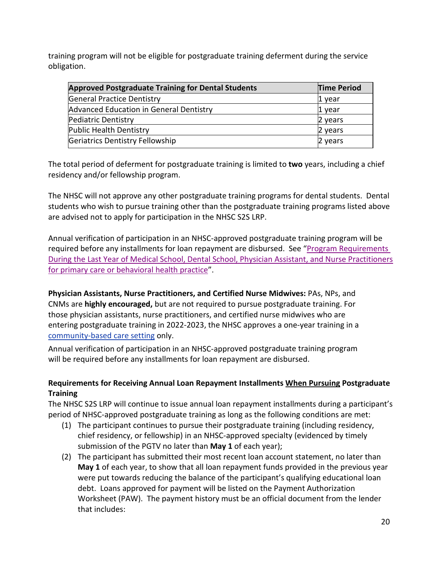training program will not be eligible for postgraduate training deferment during the service obligation.

| <b>Approved Postgraduate Training for Dental Students</b> | <b>Time Period</b> |
|-----------------------------------------------------------|--------------------|
| <b>General Practice Dentistry</b>                         | 1 vear             |
| Advanced Education in General Dentistry                   | 1 year             |
| Pediatric Dentistry                                       | 2 years            |
| <b>Public Health Dentistry</b>                            | 2 years            |
| Geriatrics Dentistry Fellowship                           | 2 years            |

The total period of deferment for postgraduate training is limited to **two** years, including a chief residency and/or fellowship program.

The NHSC will not approve any other postgraduate training programs for dental students. Dental students who wish to pursue training other than the postgraduate training programs listed above are advised not to apply for participation in the NHSC S2S LRP.

Annual verification of participation in an NHSC-approved postgraduate training program will be required before any installments for loan repayment are disbursed. See ["Program Requirements](#page-13-0) During the Last Year of [Medical School, Dental School, Physician Assistant, and Nurse Practitioners](#page-13-0)  [for primary care or behavioral health practice"](#page-13-0).

<span id="page-19-0"></span>[community-based care setting](#page-47-0) only. **Physician Assistants, Nurse Practitioners, and Certified Nurse Midwives:** PAs, NPs, and CNMs are **highly encouraged,** but are not required to pursue postgraduate training. For those physician assistants, nurse practitioners, and certified nurse midwives who are entering postgraduate training in 2022-2023, the NHSC approves a one-year training in a

Annual verification of participation in an NHSC-approved postgraduate training program will be required before any installments for loan repayment are disbursed.

# <span id="page-19-1"></span>**Requirements for Receiving Annual Loan Repayment Installments When Pursuing Postgraduate Training**

The NHSC S2S LRP will continue to issue annual loan repayment installments during a participant's period of NHSC-approved postgraduate training as long as the following conditions are met:

- (1) The participant continues to pursue their postgraduate training (including residency, chief residency, or fellowship) in an NHSC-approved specialty (evidenced by timely submission of the PGTV no later than **May 1** of each year);
- (2) The participant has submitted their most recent loan account statement, no later than **May 1** of each year, to show that all loan repayment funds provided in the previous year were put towards reducing the balance of the participant's qualifying educational loan debt. Loans approved for payment will be listed on the Payment Authorization Worksheet (PAW). The payment history must be an official document from the lender that includes: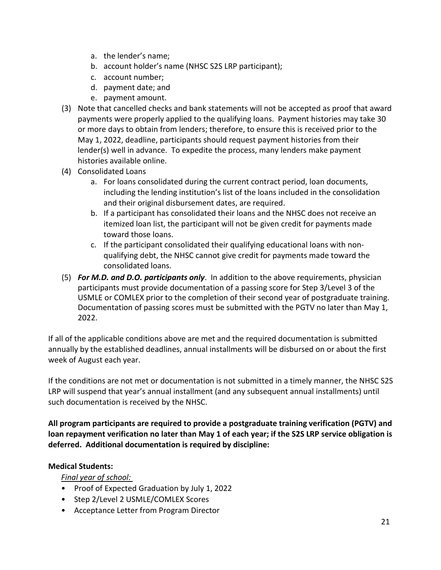- a. the lender's name;
- b. account holder's name (NHSC S2S LRP participant);
- c. account number;
- d. payment date; and
- e. payment amount.
- (3) Note that cancelled checks and bank statements will not be accepted as proof that award payments were properly applied to the qualifying loans. Payment histories may take 30 or more days to obtain from lenders; therefore, to ensure this is received prior to the May 1, 2022, deadline, participants should request payment histories from their lender(s) well in advance. To expedite the process, many lenders make payment histories available online.
- (4) Consolidated Loans
	- a. For loans consolidated during the current contract period, loan documents, including the lending institution's list of the loans included in the consolidation and their original disbursement dates, are required.
	- b. If a participant has consolidated their loans and the NHSC does not receive an itemized loan list, the participant will not be given credit for payments made toward those loans.
	- c. If the participant consolidated their qualifying educational loans with nonqualifying debt, the NHSC cannot give credit for payments made toward the consolidated loans.
- (5) *For M.D. and D.O. participants only*. In addition to the above requirements, physician participants must provide documentation of a passing score for Step 3/Level 3 of the USMLE or COMLEX prior to the completion of their second year of postgraduate training. Documentation of passing scores must be submitted with the PGTV no later than May 1, 2022.

If all of the applicable conditions above are met and the required documentation is submitted annually by the established deadlines, annual installments will be disbursed on or about the first week of August each year.

If the conditions are not met or documentation is not submitted in a timely manner, the NHSC S2S LRP will suspend that year's annual installment (and any subsequent annual installments) until such documentation is received by the NHSC.

**All program participants are required to provide a postgraduate training verification (PGTV) and loan repayment verification no later than May 1 of each year; if the S2S LRP service obligation is deferred. Additional documentation is required by discipline:**

#### **Medical Students:**

*Final year of school:* 

- Proof of Expected Graduation by July 1, 2022
- Step 2/Level 2 USMLE/COMLEX Scores
- Acceptance Letter from Program Director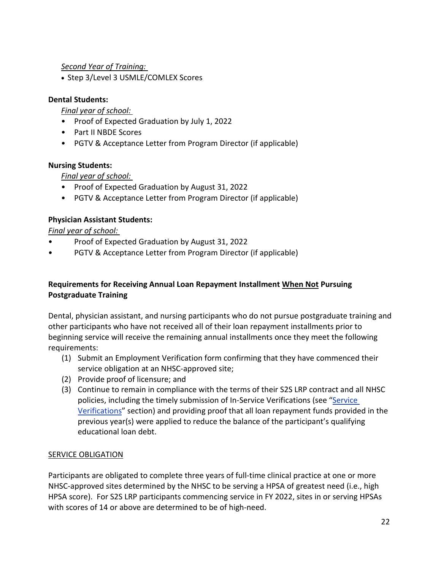# *Second Year of Training:*

• Step 3/Level 3 USMLE/COMLEX Scores

# **Dental Students:**

# *Final year of school:*

- Proof of Expected Graduation by July 1, 2022
- Part II NBDE Scores
- PGTV & Acceptance Letter from Program Director (if applicable)

# **Nursing Students:**

# *Final year of school:*

- Proof of Expected Graduation by August 31, 2022
- PGTV & Acceptance Letter from Program Director (if applicable)

# **Physician Assistant Students:**

# *Final year of school:*

- Proof of Expected Graduation by August 31, 2022
- PGTV & Acceptance Letter from Program Director (if applicable)

# **Requirements for Receiving Annual Loan Repayment Installment When Not Pursuing Postgraduate Training**

Dental, physician assistant, and nursing participants who do not pursue postgraduate training and other participants who have not received all of their loan repayment installments prior to beginning service will receive the remaining annual installments once they meet the following requirements:

- (1) Submit an Employment Verification form confirming that they have commenced their service obligation at an NHSC-approved site;
- (2) Provide proof of licensure; and
- (3) Continue to remain in compliance with the terms of their S2S LRP contract and all NHSC policies, including the timely submission of In-Service Verifications (see ["Service](#page-32-1)  [Verifications"](#page-32-1) section) and providing proof that all loan repayment funds provided in the previous year(s) were applied to reduce the balance of the participant's qualifying educational loan debt.

# <span id="page-21-0"></span>SERVICE OBLIGATION

Participants are obligated to complete three years of full-time clinical practice at one or more NHSC-approved sites determined by the NHSC to be serving a HPSA of greatest need (i.e., high HPSA score). For S2S LRP participants commencing service in FY 2022, sites in or serving HPSAs with scores of 14 or above are determined to be of high-need.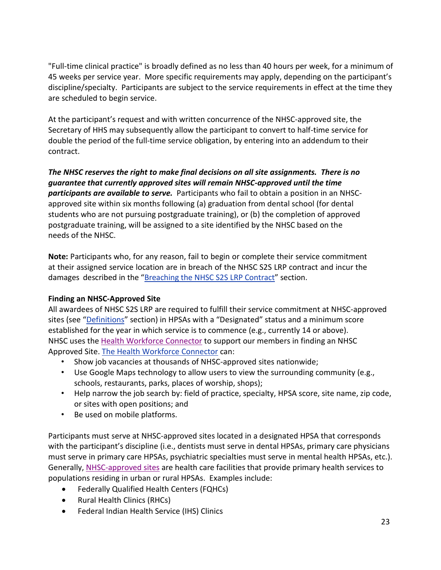"Full-time clinical practice" is broadly defined as no less than 40 hours per week, for a minimum of 45 weeks per service year. More specific requirements may apply, depending on the participant's discipline/specialty. Participants are subject to the service requirements in effect at the time they are scheduled to begin service.

At the participant's request and with written concurrence of the NHSC-approved site, the Secretary of HHS may subsequently allow the participant to convert to half-time service for double the period of the full-time service obligation, by entering into an addendum to their contract.

*The NHSC reserves the right to make final decisions on all site assignments. There is no guarantee that currently approved sites will remain NHSC-approved until the time participants are available to serve.* Participants who fail to obtain a position in an NHSCapproved site within six months following (a) graduation from dental school (for dental students who are not pursuing postgraduate training), or (b) the completion of approved postgraduate training, will be assigned to a site identified by the NHSC based on the needs of the NHSC.

damages described in the ["Breaching](#page-36-0) the NHSC S2S LRP Contract" section. **Note:** Participants who, for any reason, fail to begin or complete their service commitment at their assigned service location are in breach of the NHSC S2S LRP contract and incur the

# **Finding an NHSC-Approved Site**

All awardees of NHSC S2S LRP are required to fulfill their service commitment at NHSC-approved sites (see ["Definitions"](#page-46-0) section) in HPSAs with a "Designated" status and a minimum score established for the year in which service is to commence (e.g., currently 14 or above). NHSC uses the [Health Workforce Connector](https://connector.hrsa.gov/connector/) to support our members in finding an NHSC Approved Site. The Health [Workforce Connector](https://connector.hrsa.gov/) can:

- Show job vacancies at thousands of NHSC-approved sites nationwide;
- Use Google Maps technology to allow users to view the surrounding community (e.g., schools, restaurants, parks, places of worship, shops);
- Help narrow the job search by: field of practice, specialty, HPSA score, site name, zip code, or sites with open positions; and
- Be used on mobile platforms.

Participants must serve at NHSC-approved sites located in a designated HPSA that corresponds with the participant's discipline (i.e., dentists must serve in dental HPSAs, primary care physicians must serve in primary care HPSAs, psychiatric specialties must serve in mental health HPSAs, etc.). Generally, [NHSC-approved sites](https://nhsc.hrsa.gov/sites/eligibility-requirements.html) are health care facilities that provide primary health services to populations residing in urban or rural HPSAs. Examples include:

- Federally Qualified Health Centers (FQHCs)
- Rural Health Clinics (RHCs)
- Federal Indian Health Service (IHS) Clinics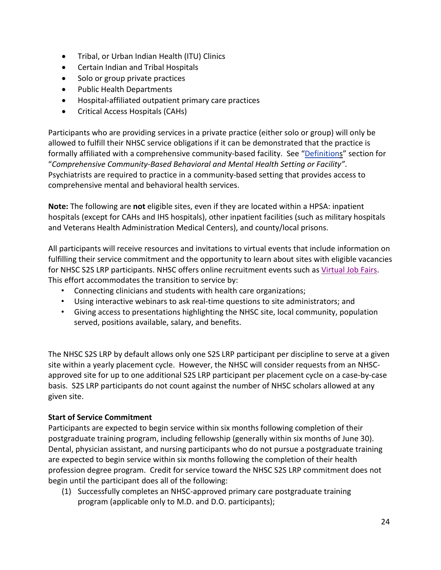- Tribal, or Urban Indian Health (ITU) Clinics
- Certain Indian and Tribal Hospitals
- Solo or group private practices
- Public Health Departments
- Hospital-affiliated outpatient primary care practices
- Critical Access Hospitals (CAHs)

Participants who are providing services in a private practice (either solo or group) will only be allowed to fulfill their NHSC service obligations if it can be demonstrated that the practice is formally affiliated with a comprehensive community-based facility. See ["Definitions](#page-46-0)" section for "*Comprehensive Community-Based Behavioral and Mental Health Setting or Facility"*. Psychiatrists are required to practice in a community-based setting that provides access to comprehensive mental and behavioral health services.

**Note:** The following are **not** eligible sites, even if they are located within a HPSA: inpatient hospitals (except for CAHs and IHS hospitals), other inpatient facilities (such as military hospitals and Veterans Health Administration Medical Centers), and county/local prisons.

All participants will receive resources and invitations to virtual events that include information on fulfilling their service commitment and the opportunity to learn about sites with eligible vacancies for NHSC S2S LRP participants. NHSC offers online recruitment events such as [Virtual Job Fairs.](https://bhw.hrsa.gov/provider-recruitment/virtual-job-fairs) This effort accommodates the transition to service by:

- Connecting clinicians and students with health care organizations;
- Using interactive webinars to ask real-time questions to site administrators; and
- Giving access to presentations highlighting the NHSC site, local community, population served, positions available, salary, and benefits.

The NHSC S2S LRP by default allows only one S2S LRP participant per discipline to serve at a given site within a yearly placement cycle. However, the NHSC will consider requests from an NHSCapproved site for up to one additional S2S LRP participant per placement cycle on a case-by-case basis. S2S LRP participants do not count against the number of NHSC scholars allowed at any given site.

# <span id="page-23-1"></span><span id="page-23-0"></span>**Start of Service Commitment**

Participants are expected to begin service within six months following completion of their postgraduate training program, including fellowship (generally within six months of June 30). Dental, physician assistant, and nursing participants who do not pursue a postgraduate training are expected to begin service within six months following the completion of their health profession degree program. Credit for service toward the NHSC S2S LRP commitment does not begin until the participant does all of the following:

(1) Successfully completes an NHSC-approved primary care postgraduate training program (applicable only to M.D. and D.O. participants);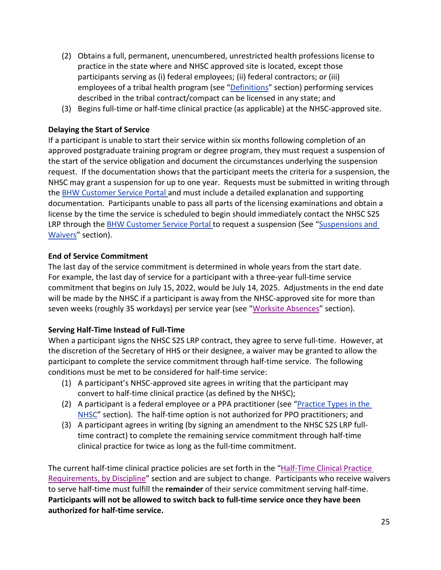- (2) Obtains a full, permanent, unencumbered, unrestricted health professions license to practice in the state where and NHSC approved site is located, except those participants serving as (i) federal employees; (ii) federal contractors; or (iii) employees of a tribal health program (see ["Definitions"](#page-46-0) section) performing services described in the tribal contract/compact can be licensed in any state; and
- (3) Begins full-time or half-time clinical practice (as applicable) at the NHSC-approved site.

# **Delaying the Start of Service**

If a participant is unable to start their service within six months following completion of an approved postgraduate training program or degree program, they must request a suspension of the start of the service obligation and document the circumstances underlying the suspension request. If the documentation shows that the participant meets the criteria for a suspension, the NHSC may grant a suspension for up to one year. Requests must be submitted in writing through the [BHW Customer Service Portal](https://programportal.hrsa.gov/) and must include a detailed explanation and supporting documentation. Participants unable to pass all parts of the licensing examinations and obtain a license by the time the service is scheduled to begin should immediately contact the NHSC S2S LRP through the [BHW Customer Service Portal](https://programportal.hrsa.gov/) to request a suspension (See ["Suspensions and](#page-38-0) [Waivers"](#page-38-0) section).

# **End of Service Commitment**

The last day of the service commitment is determined in whole years from the start date. For example, the last day of service for a participant with a three-year full-time service commitment that begins on July 15, 2022, would be July 14, 2025. Adjustments in the end date will be made by the NHSC if a participant is away from the NHSC-approved site for more than seven weeks (roughly 35 workdays) per service year (see ["Worksite Absences"](#page-32-2) section).

# **Serving Half-Time Instead of Full-Time**

When a participant signs the NHSC S2S LRP contract, they agree to serve full-time. However, at the discretion of the Secretary of HHS or their designee, a waiver may be granted to allow the participant to complete the service commitment through half-time service. The following conditions must be met to be considered for half-time service:

- (1) A participant's NHSC-approved site agrees in writing that the participant may convert to half-time clinical practice (as defined by the NHSC);
- (2) A participant is a federal employee or a PPA practitioner (see ["Practice Types in the](#page-23-1)  [NHSC"](#page-23-1) section). The half-time option is not authorized for PPO practitioners; and
- (3) A participant agrees in writing (by signing an amendment to the NHSC S2S LRP fulltime contract) to complete the remaining service commitment through half-time clinical practice for twice as long as the full-time commitment.

The current half-time clinical practice policies are set forth in the ["Half-Time Clinical Practice](#page-29-0)  [Requirements, by Discipline"](#page-29-0) section and are subject to change. Participants who receive waivers to serve half-time must fulfill the **remainder** of their service commitment serving half-time. **Participants will not be allowed to switch back to full-time service once they have been authorized for half-time service.**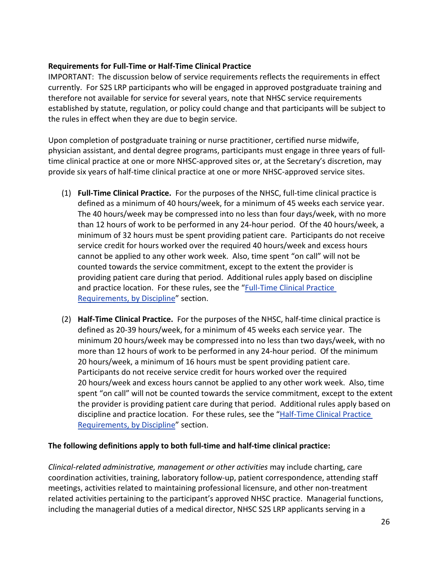#### **Requirements for Full-Time or Half-Time Clinical Practice**

IMPORTANT: The discussion below of service requirements reflects the requirements in effect currently. For S2S LRP participants who will be engaged in approved postgraduate training and therefore not available for service for several years, note that NHSC service requirements established by statute, regulation, or policy could change and that participants will be subject to the rules in effect when they are due to begin service.

Upon completion of postgraduate training or nurse practitioner, certified nurse midwife, physician assistant, and dental degree programs, participants must engage in three years of fulltime clinical practice at one or more NHSC-approved sites or, at the Secretary's discretion, may provide six years of half-time clinical practice at one or more NHSC-approved service sites.

- (1) **Full-Time Clinical Practice.** For the purposes of the NHSC, full-time clinical practice is defined as a minimum of 40 hours/week, for a minimum of 45 weeks each service year. The 40 hours/week may be compressed into no less than four days/week, with no more than 12 hours of work to be performed in any 24-hour period. Of the 40 hours/week, a minimum of 32 hours must be spent providing patient care. Participants do not receive service credit for hours worked over the required 40 hours/week and excess hours cannot be applied to any other work week. Also, time spent "on call" will not be counted towards the service commitment, except to the extent the provider is providing patient care during that period. Additional rules apply based on discipline and practice location. For these rules, see the "Full-Time Clinical Practice [Requirements, by Discipline"](file://gss-fs2/Users_D-H/DFabiyi-King/2019%20BHW/2019%20S2S/S2S%20%20APG%20Submitted%20%20to%20IA/Full-Time%20Clinical%20Practice%20Requirements%20by%20Discipline) section.
- (2) **Half-Time Clinical Practice.** For the purposes of the NHSC, half-time clinical practice is defined as 20-39 hours/week, for a minimum of 45 weeks each service year. The minimum 20 hours/week may be compressed into no less than two days/week, with no more than 12 hours of work to be performed in any 24-hour period. Of the minimum 20 hours/week, a minimum of 16 hours must be spent providing patient care. Participants do not receive service credit for hours worked over the required 20 hours/week and excess hours cannot be applied to any other work week. Also, time spent "on call" will not be counted towards the service commitment, except to the extent the provider is providing patient care during that period. Additional rules apply based on discipline and practice location. For these rules, see the "Half-Time Clinical Practice [Requirements, by Discipline"](file://gss-fs2/Users_D-H/DFabiyi-King/2019%20BHW/2019%20S2S/S2S%20%20APG%20Submitted%20%20to%20IA/Half-Time%20Clinical%20Practice%20Requirements,%20by%20Discipline) section.

#### **The following definitions apply to both full-time and half-time clinical practice:**

*Clinical-related administrative, management or other activities* may include charting, care coordination activities, training, laboratory follow-up, patient correspondence, attending staff meetings, activities related to maintaining professional licensure, and other non-treatment related activities pertaining to the participant's approved NHSC practice. Managerial functions, including the managerial duties of a medical director, NHSC S2S LRP applicants serving in a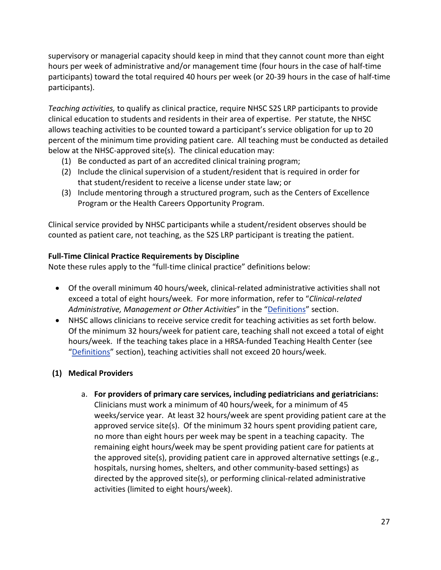supervisory or managerial capacity should keep in mind that they cannot count more than eight hours per week of administrative and/or management time (four hours in the case of half-time participants) toward the total required 40 hours per week (or 20-39 hours in the case of half-time participants).

*Teaching activities,* to qualify as clinical practice, require NHSC S2S LRP participants to provide clinical education to students and residents in their area of expertise. Per statute, the NHSC allows teaching activities to be counted toward a participant's service obligation for up to 20 percent of the minimum time providing patient care. All teaching must be conducted as detailed below at the NHSC-approved site(s). The clinical education may:

- (1) Be conducted as part of an accredited clinical training program;
- (2) Include the clinical supervision of a student/resident that is required in order for that student/resident to receive a license under state law; or
- (3) Include mentoring through a structured program, such as the Centers of Excellence Program or the Health Careers Opportunity Program.

Clinical service provided by NHSC participants while a student/resident observes should be counted as patient care, not teaching, as the S2S LRP participant is treating the patient.

# **Full-Time Clinical Practice Requirements by Discipline**

Note these rules apply to the "full-time clinical practice" definitions below:

- Of the overall minimum 40 hours/week, clinical-related administrative activities shall not exceed a total of eight hours/week. For more information, refer to "*Clinical-related Administrative, Management or Other Activities*" in the ["Definitions"](#page-46-0) section.
- NHSC allows clinicians to receive service credit for teaching activities as set forth below. Of the minimum 32 hours/week for patient care, teaching shall not exceed a total of eight hours/week. If the teaching takes place in a HRSA-funded Teaching Health Center (see ["Definitions"](#page-46-0) section), teaching activities shall not exceed 20 hours/week.

# **(1) Medical Providers**

a. **For providers of primary care services, including pediatricians and geriatricians:**  Clinicians must work a minimum of 40 hours/week, for a minimum of 45 weeks/service year. At least 32 hours/week are spent providing patient care at the approved service site(s). Of the minimum 32 hours spent providing patient care, no more than eight hours per week may be spent in a teaching capacity. The remaining eight hours/week may be spent providing patient care for patients at the approved site(s), providing patient care in approved alternative settings (e.g., hospitals, nursing homes, shelters, and other community-based settings) as directed by the approved site(s), or performing clinical-related administrative activities (limited to eight hours/week).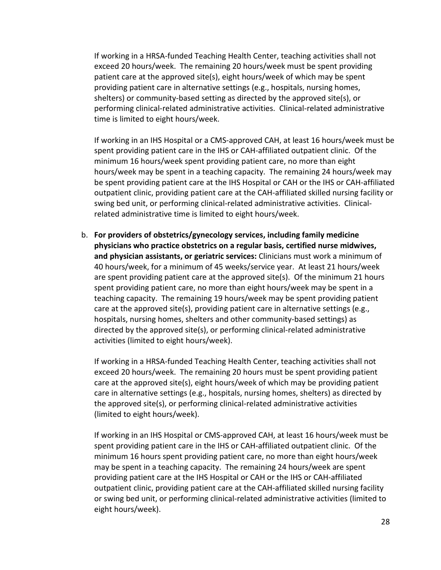If working in a HRSA-funded Teaching Health Center, teaching activities shall not exceed 20 hours/week. The remaining 20 hours/week must be spent providing patient care at the approved site(s), eight hours/week of which may be spent providing patient care in alternative settings (e.g., hospitals, nursing homes, shelters) or community-based setting as directed by the approved site(s), or performing clinical-related administrative activities. Clinical-related administrative time is limited to eight hours/week.

If working in an IHS Hospital or a CMS-approved CAH, at least 16 hours/week must be spent providing patient care in the IHS or CAH-affiliated outpatient clinic. Of the minimum 16 hours/week spent providing patient care, no more than eight hours/week may be spent in a teaching capacity. The remaining 24 hours/week may be spent providing patient care at the IHS Hospital or CAH or the IHS or CAH-affiliated outpatient clinic, providing patient care at the CAH-affiliated skilled nursing facility or swing bed unit, or performing clinical-related administrative activities. Clinicalrelated administrative time is limited to eight hours/week.

b. **For providers of obstetrics/gynecology services, including family medicine physicians who practice obstetrics on a regular basis, certified nurse midwives, and physician assistants, or geriatric services:** Clinicians must work a minimum of 40 hours/week, for a minimum of 45 weeks/service year. At least 21 hours/week are spent providing patient care at the approved site(s). Of the minimum 21 hours spent providing patient care, no more than eight hours/week may be spent in a teaching capacity. The remaining 19 hours/week may be spent providing patient care at the approved site(s), providing patient care in alternative settings (e.g., hospitals, nursing homes, shelters and other community-based settings) as directed by the approved site(s), or performing clinical-related administrative activities (limited to eight hours/week).

If working in a HRSA-funded Teaching Health Center, teaching activities shall not exceed 20 hours/week. The remaining 20 hours must be spent providing patient care at the approved site(s), eight hours/week of which may be providing patient care in alternative settings (e.g., hospitals, nursing homes, shelters) as directed by the approved site(s), or performing clinical-related administrative activities (limited to eight hours/week).

If working in an IHS Hospital or CMS-approved CAH, at least 16 hours/week must be spent providing patient care in the IHS or CAH-affiliated outpatient clinic. Of the minimum 16 hours spent providing patient care, no more than eight hours/week may be spent in a teaching capacity. The remaining 24 hours/week are spent providing patient care at the IHS Hospital or CAH or the IHS or CAH-affiliated outpatient clinic, providing patient care at the CAH-affiliated skilled nursing facility or swing bed unit, or performing clinical-related administrative activities (limited to eight hours/week).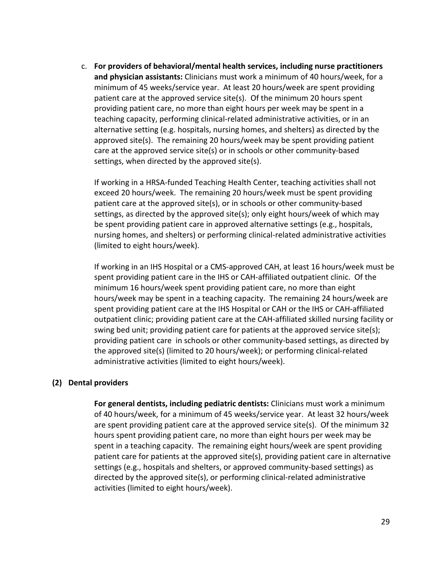c. **For providers of behavioral/mental health services, including nurse practitioners and physician assistants:** Clinicians must work a minimum of 40 hours/week, for a minimum of 45 weeks/service year. At least 20 hours/week are spent providing patient care at the approved service site(s). Of the minimum 20 hours spent providing patient care, no more than eight hours per week may be spent in a teaching capacity, performing clinical-related administrative activities, or in an alternative setting (e.g. hospitals, nursing homes, and shelters) as directed by the approved site(s). The remaining 20 hours/week may be spent providing patient care at the approved service site(s) or in schools or other community-based settings, when directed by the approved site(s).

If working in a HRSA-funded Teaching Health Center, teaching activities shall not exceed 20 hours/week. The remaining 20 hours/week must be spent providing patient care at the approved site(s), or in schools or other community-based settings, as directed by the approved site(s); only eight hours/week of which may be spent providing patient care in approved alternative settings (e.g., hospitals, nursing homes, and shelters) or performing clinical-related administrative activities (limited to eight hours/week).

If working in an IHS Hospital or a CMS-approved CAH, at least 16 hours/week must be spent providing patient care in the IHS or CAH-affiliated outpatient clinic. Of the minimum 16 hours/week spent providing patient care, no more than eight hours/week may be spent in a teaching capacity. The remaining 24 hours/week are spent providing patient care at the IHS Hospital or CAH or the IHS or CAH-affiliated outpatient clinic; providing patient care at the CAH-affiliated skilled nursing facility or swing bed unit; providing patient care for patients at the approved service site(s); providing patient care in schools or other community-based settings, as directed by the approved site(s) (limited to 20 hours/week); or performing clinical-related administrative activities (limited to eight hours/week).

#### **(2) Dental providers**

**For general dentists, including pediatric dentists:** Clinicians must work a minimum of 40 hours/week, for a minimum of 45 weeks/service year. At least 32 hours/week are spent providing patient care at the approved service site(s). Of the minimum 32 hours spent providing patient care, no more than eight hours per week may be spent in a teaching capacity. The remaining eight hours/week are spent providing patient care for patients at the approved site(s), providing patient care in alternative settings (e.g., hospitals and shelters, or approved community-based settings) as directed by the approved site(s), or performing clinical-related administrative activities (limited to eight hours/week).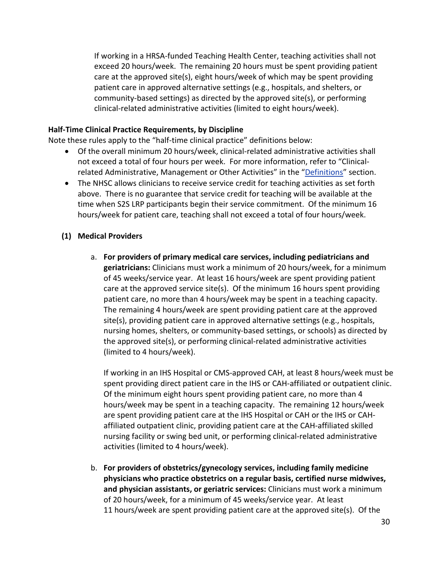If working in a HRSA-funded Teaching Health Center, teaching activities shall not exceed 20 hours/week. The remaining 20 hours must be spent providing patient care at the approved site(s), eight hours/week of which may be spent providing patient care in approved alternative settings (e.g., hospitals, and shelters, or community-based settings) as directed by the approved site(s), or performing clinical-related administrative activities (limited to eight hours/week).

#### <span id="page-29-0"></span>**Half-Time Clinical Practice Requirements, by Discipline**

Note these rules apply to the "half-time clinical practice" definitions below:

- Of the overall minimum 20 hours/week, clinical-related administrative activities shall not exceed a total of four hours per week. For more information, refer to "Clinical-related Administrative, Management or Other Activities" in the ["Definitions"](#page-46-0) section.
- The NHSC allows clinicians to receive service credit for teaching activities as set forth above. There is no guarantee that service credit for teaching will be available at the time when S2S LRP participants begin their service commitment. Of the minimum 16 hours/week for patient care, teaching shall not exceed a total of four hours/week.

# **(1) Medical Providers**

a. **For providers of primary medical care services, including pediatricians and geriatricians:** Clinicians must work a minimum of 20 hours/week, for a minimum of 45 weeks/service year. At least 16 hours/week are spent providing patient care at the approved service site(s). Of the minimum 16 hours spent providing patient care, no more than 4 hours/week may be spent in a teaching capacity. The remaining 4 hours/week are spent providing patient care at the approved site(s), providing patient care in approved alternative settings (e.g., hospitals, nursing homes, shelters, or community-based settings, or schools) as directed by the approved site(s), or performing clinical-related administrative activities (limited to 4 hours/week).

If working in an IHS Hospital or CMS-approved CAH, at least 8 hours/week must be spent providing direct patient care in the IHS or CAH-affiliated or outpatient clinic. Of the minimum eight hours spent providing patient care, no more than 4 hours/week may be spent in a teaching capacity. The remaining 12 hours/week are spent providing patient care at the IHS Hospital or CAH or the IHS or CAHaffiliated outpatient clinic, providing patient care at the CAH-affiliated skilled nursing facility or swing bed unit, or performing clinical-related administrative activities (limited to 4 hours/week).

b. **For providers of obstetrics/gynecology services, including family medicine physicians who practice obstetrics on a regular basis, certified nurse midwives, and physician assistants, or geriatric services:** Clinicians must work a minimum of 20 hours/week, for a minimum of 45 weeks/service year. At least 11 hours/week are spent providing patient care at the approved site(s). Of the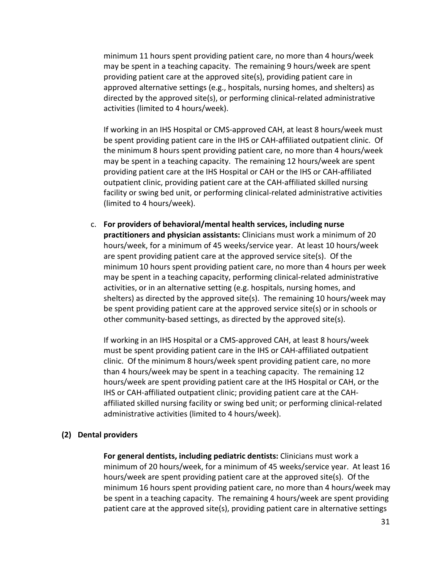minimum 11 hours spent providing patient care, no more than 4 hours/week may be spent in a teaching capacity. The remaining 9 hours/week are spent providing patient care at the approved site(s), providing patient care in approved alternative settings (e.g., hospitals, nursing homes, and shelters) as directed by the approved site(s), or performing clinical-related administrative activities (limited to 4 hours/week).

If working in an IHS Hospital or CMS-approved CAH, at least 8 hours/week must be spent providing patient care in the IHS or CAH-affiliated outpatient clinic. Of the minimum 8 hours spent providing patient care, no more than 4 hours/week may be spent in a teaching capacity. The remaining 12 hours/week are spent providing patient care at the IHS Hospital or CAH or the IHS or CAH-affiliated outpatient clinic, providing patient care at the CAH-affiliated skilled nursing facility or swing bed unit, or performing clinical-related administrative activities (limited to 4 hours/week).

c. **For providers of behavioral/mental health services, including nurse practitioners and physician assistants:** Clinicians must work a minimum of 20 hours/week, for a minimum of 45 weeks/service year. At least 10 hours/week are spent providing patient care at the approved service site(s). Of the minimum 10 hours spent providing patient care, no more than 4 hours per week may be spent in a teaching capacity, performing clinical-related administrative activities, or in an alternative setting (e.g. hospitals, nursing homes, and shelters) as directed by the approved site(s). The remaining 10 hours/week may be spent providing patient care at the approved service site(s) or in schools or other community-based settings, as directed by the approved site(s).

If working in an IHS Hospital or a CMS-approved CAH, at least 8 hours/week must be spent providing patient care in the IHS or CAH-affiliated outpatient clinic. Of the minimum 8 hours/week spent providing patient care, no more than 4 hours/week may be spent in a teaching capacity. The remaining 12 hours/week are spent providing patient care at the IHS Hospital or CAH, or the IHS or CAH-affiliated outpatient clinic; providing patient care at the CAHaffiliated skilled nursing facility or swing bed unit; or performing clinical-related administrative activities (limited to 4 hours/week).

#### **(2) Dental providers**

**For general dentists, including pediatric dentists:** Clinicians must work a minimum of 20 hours/week, for a minimum of 45 weeks/service year. At least 16 hours/week are spent providing patient care at the approved site(s). Of the minimum 16 hours spent providing patient care, no more than 4 hours/week may be spent in a teaching capacity. The remaining 4 hours/week are spent providing patient care at the approved site(s), providing patient care in alternative settings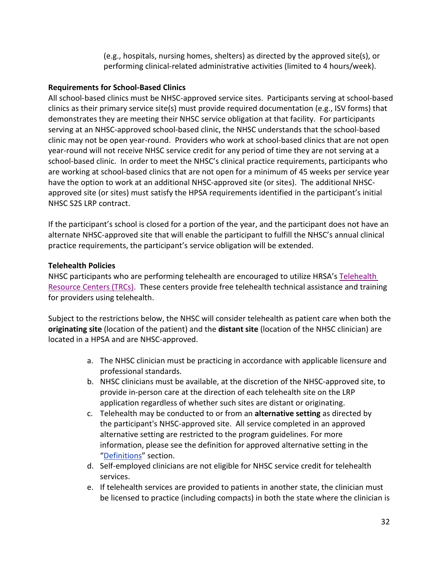(e.g., hospitals, nursing homes, shelters) as directed by the approved site(s), or performing clinical-related administrative activities (limited to 4 hours/week).

# **Requirements for School-Based Clinics**

All school-based clinics must be NHSC-approved service sites. Participants serving at school-based clinics as their primary service site(s) must provide required documentation (e.g., ISV forms) that demonstrates they are meeting their NHSC service obligation at that facility. For participants serving at an NHSC-approved school-based clinic, the NHSC understands that the school-based clinic may not be open year-round. Providers who work at school-based clinics that are not open year-round will not receive NHSC service credit for any period of time they are not serving at a school-based clinic. In order to meet the NHSC's clinical practice requirements, participants who are working at school-based clinics that are not open for a minimum of 45 weeks per service year have the option to work at an additional NHSC-approved site (or sites). The additional NHSCapproved site (or sites) must satisfy the HPSA requirements identified in the participant's initial NHSC S2S LRP contract.

If the participant's school is closed for a portion of the year, and the participant does not have an alternate NHSC-approved site that will enable the participant to fulfill the NHSC's annual clinical practice requirements, the participant's service obligation will be extended.

# **Telehealth Policies**

NHSC participants who are performing telehealth are encouraged to utilize HRSA's Telehealth [Resource Centers \(TRCs\).](https://www.telehealthresourcecenter.org/) These centers provide free telehealth technical assistance and training for providers using telehealth.

Subject to the restrictions below, the NHSC will consider telehealth as patient care when both the **originating site** (location of the patient) and the **distant site** (location of the NHSC clinician) are located in a HPSA and are NHSC-approved.

- a. The NHSC clinician must be practicing in accordance with applicable licensure and professional standards.
- b. NHSC clinicians must be available, at the discretion of the NHSC-approved site, to provide in-person care at the direction of each telehealth site on the LRP application regardless of whether such sites are distant or originating.
- ["Definitions](#page-46-0)" section. c. Telehealth may be conducted to or from an **alternative setting** as directed by the participant's NHSC-approved site. All service completed in an approved alternative setting are restricted to the program guidelines. For more information, please see the definition for approved alternative setting in the
- d. Self-employed clinicians are not eligible for NHSC service credit for telehealth services.
- e. If telehealth services are provided to patients in another state, the clinician must be licensed to practice (including compacts) in both the state where the clinician is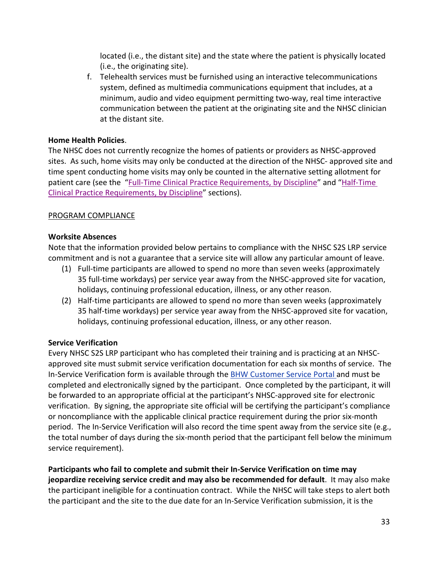located (i.e., the distant site) and the state where the patient is physically located (i.e., the originating site).

f. Telehealth services must be furnished using an interactive telecommunications system, defined as multimedia communications equipment that includes, at a minimum, audio and video equipment permitting two-way, real time interactive communication between the patient at the originating site and the NHSC clinician at the distant site.

#### **Home Health Policies**.

The NHSC does not currently recognize the homes of patients or providers as NHSC-approved sites. As such, home visits may only be conducted at the direction of the NHSC- approved site and time spent conducting home visits may only be counted in the alternative setting allotment for patient care (see the "Full-Time Clinical Practice Requirements, by Discipline" and "Half-Time [Clinical Practice Requirements, by Discipline"](#page-29-0) sections).

#### <span id="page-32-0"></span>PROGRAM COMPLIANCE

#### <span id="page-32-2"></span>**Worksite Absences**

Note that the information provided below pertains to compliance with the NHSC S2S LRP service commitment and is not a guarantee that a service site will allow any particular amount of leave.

- (1) Full-time participants are allowed to spend no more than seven weeks (approximately 35 full-time workdays) per service year away from the NHSC-approved site for vacation, holidays, continuing professional education, illness, or any other reason.
- (2) Half-time participants are allowed to spend no more than seven weeks (approximately 35 half-time workdays) per service year away from the NHSC-approved site for vacation, holidays, continuing professional education, illness, or any other reason.

# <span id="page-32-1"></span>**Service Verification**

Every NHSC S2S LRP participant who has completed their training and is practicing at an NHSCapproved site must submit service verification documentation for each six months of service. The In-Service Verification form is available through the **BHW Customer Service Portal and must be** completed and electronically signed by the participant. Once completed by the participant, it will be forwarded to an appropriate official at the participant's NHSC-approved site for electronic verification. By signing, the appropriate site official will be certifying the participant's compliance or noncompliance with the applicable clinical practice requirement during the prior six-month period. The In-Service Verification will also record the time spent away from the service site (e.g., the total number of days during the six-month period that the participant fell below the minimum service requirement).

**Participants who fail to complete and submit their In-Service Verification on time may jeopardize receiving service credit and may also be recommended for default**. It may also make the participant ineligible for a continuation contract. While the NHSC will take steps to alert both the participant and the site to the due date for an In-Service Verification submission, it is the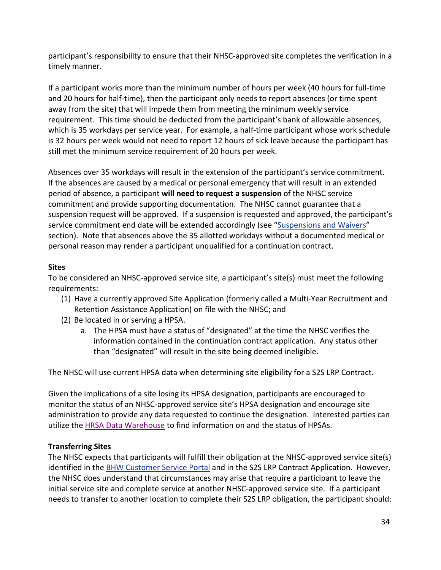participant's responsibility to ensure that their NHSC-approved site completes the verification in a timely manner.

If a participant works more than the minimum number of hours per week (40 hours for full-time and 20 hours for half-time), then the participant only needs to report absences (or time spent away from the site) that will impede them from meeting the minimum weekly service requirement. This time should be deducted from the participant's bank of allowable absences, which is 35 workdays per service year. For example, a half-time participant whose work schedule is 32 hours per week would not need to report 12 hours of sick leave because the participant has still met the minimum service requirement of 20 hours per week.

Absences over 35 workdays will result in the extension of the participant's service commitment. If the absences are caused by a medical or personal emergency that will result in an extended period of absence, a participant **will need to request a suspension** of the NHSC service commitment and provide supporting documentation. The NHSC cannot guarantee that a suspension request will be approved. If a suspension is requested and approved, the participant's service commitment end date will be extended accordingly (see ["Suspensions and](#page-38-1) Waivers" section). Note that absences above the 35 allotted workdays without a documented medical or personal reason may render a participant unqualified for a continuation contract.

# **Sites**

To be considered an NHSC-approved service site, a participant's site(s) must meet the following requirements:

- (1) Have a currently approved Site Application (formerly called a Multi-Year Recruitment and Retention Assistance Application) on file with the NHSC; and
- (2) Be located in or serving a HPSA.
	- a. The HPSA must have a status of "designated" at the time the NHSC verifies the information contained in the continuation contract application. Any status other than "designated" will result in the site being deemed ineligible.

The NHSC will use current HPSA data when determining site eligibility for a S2S LRP Contract.

Given the implications of a site losing its HPSA designation, participants are encouraged to monitor the status of an NHSC-approved service site's HPSA designation and encourage site administration to provide any data requested to continue the designation. Interested parties can utilize the [HRSA Data Warehouse](https://datawarehouse.hrsa.gov/tools/analyzers/geo/ShortageArea.aspx) to find information on and the status of HPSAs.

# **Transferring Sites**

The NHSC expects that participants will fulfill their obligation at the NHSC-approved service site(s) identified in the [BHW Customer Service Portal](https://programportal.hrsa.gov/extranet/landing.seam) and in the S2S LRP Contract Application. However, the NHSC does understand that circumstances may arise that require a participant to leave the initial service site and complete service at another NHSC-approved service site. If a participant needs to transfer to another location to complete their S2S LRP obligation, the participant should: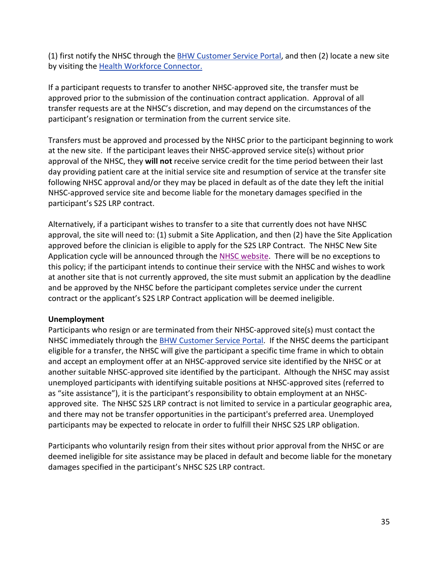(1) first notify the NHSC through the [BHW Customer Service Portal,](https://programportal.hrsa.gov/extranet/landing.seam) and then (2) locate a new site by visiting the [Health Workforce Connector.](https://connector.hrsa.gov/)

If a participant requests to transfer to another NHSC-approved site, the transfer must be approved prior to the submission of the continuation contract application. Approval of all transfer requests are at the NHSC's discretion, and may depend on the circumstances of the participant's resignation or termination from the current service site.

Transfers must be approved and processed by the NHSC prior to the participant beginning to work at the new site. If the participant leaves their NHSC-approved service site(s) without prior approval of the NHSC, they **will not** receive service credit for the time period between their last day providing patient care at the initial service site and resumption of service at the transfer site following NHSC approval and/or they may be placed in default as of the date they left the initial NHSC-approved service site and become liable for the monetary damages specified in the participant's S2S LRP contract.

Alternatively, if a participant wishes to transfer to a site that currently does not have NHSC approval, the site will need to: (1) submit a Site Application, and then (2) have the Site Application approved before the clinician is eligible to apply for the S2S LRP Contract. The NHSC New Site Application cycle will be announced through th[e NHSC website.](http://nhsc.hrsa.gov/) There will be no exceptions to this policy; if the participant intends to continue their service with the NHSC and wishes to work at another site that is not currently approved, the site must submit an application by the deadline and be approved by the NHSC before the participant completes service under the current contract or the applicant's S2S LRP Contract application will be deemed ineligible.

# **Unemployment**

Participants who resign or are terminated from their NHSC-approved site(s) must contact the NHSC immediately through the **BHW Customer Service Portal**. If the NHSC deems the participant eligible for a transfer, the NHSC will give the participant a specific time frame in which to obtain and accept an employment offer at an NHSC-approved service site identified by the NHSC or at another suitable NHSC-approved site identified by the participant. Although the NHSC may assist unemployed participants with identifying suitable positions at NHSC-approved sites (referred to as "site assistance"), it is the participant's responsibility to obtain employment at an NHSCapproved site. The NHSC S2S LRP contract is not limited to service in a particular geographic area, and there may not be transfer opportunities in the participant's preferred area. Unemployed participants may be expected to relocate in order to fulfill their NHSC S2S LRP obligation.

Participants who voluntarily resign from their sites without prior approval from the NHSC or are deemed ineligible for site assistance may be placed in default and become liable for the monetary damages specified in the participant's NHSC S2S LRP contract.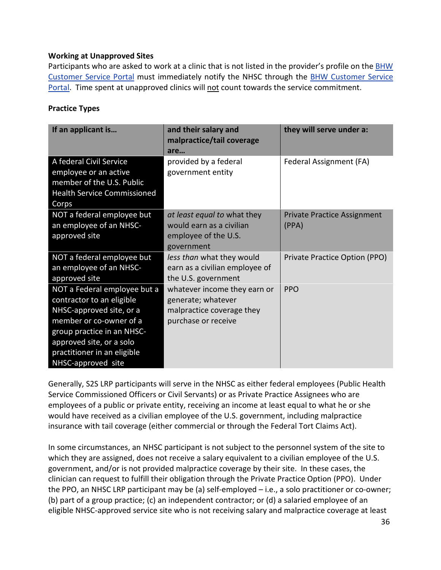#### **Working at Unapproved Sites**

Participants who are asked to work at a clinic that is not listed in the provider's profile on the **BHW** [Customer Service Portal](https://programportal.hrsa.gov/extranet/landing.seam) must immediately notify the NHSC through the [BHW Customer Service](https://programportal.hrsa.gov/extranet/landing.seam)  [Portal.](https://programportal.hrsa.gov/extranet/landing.seam) Time spent at unapproved clinics will not count towards the service commitment.

#### **Practice Types**

| If an applicant is                                                                                                                                                                                                              | and their salary and<br>malpractice/tail coverage<br>are                                               | they will serve under a:                    |
|---------------------------------------------------------------------------------------------------------------------------------------------------------------------------------------------------------------------------------|--------------------------------------------------------------------------------------------------------|---------------------------------------------|
| A federal Civil Service<br>employee or an active<br>member of the U.S. Public<br><b>Health Service Commissioned</b><br>Corps                                                                                                    | provided by a federal<br>government entity                                                             | Federal Assignment (FA)                     |
| NOT a federal employee but<br>an employee of an NHSC-<br>approved site                                                                                                                                                          | at least equal to what they<br>would earn as a civilian<br>employee of the U.S.<br>government          | <b>Private Practice Assignment</b><br>(PPA) |
| NOT a federal employee but<br>an employee of an NHSC-<br>approved site                                                                                                                                                          | less than what they would<br>earn as a civilian employee of<br>the U.S. government                     | Private Practice Option (PPO)               |
| NOT a Federal employee but a<br>contractor to an eligible<br>NHSC-approved site, or a<br>member or co-owner of a<br>group practice in an NHSC-<br>approved site, or a solo<br>practitioner in an eligible<br>NHSC-approved site | whatever income they earn or<br>generate; whatever<br>malpractice coverage they<br>purchase or receive | <b>PPO</b>                                  |

Generally, S2S LRP participants will serve in the NHSC as either federal employees (Public Health Service Commissioned Officers or Civil Servants) or as Private Practice Assignees who are employees of a public or private entity, receiving an income at least equal to what he or she would have received as a civilian employee of the U.S. government, including malpractice insurance with tail coverage (either commercial or through the Federal Tort Claims Act).

In some circumstances, an NHSC participant is not subject to the personnel system of the site to which they are assigned, does not receive a salary equivalent to a civilian employee of the U.S. government, and/or is not provided malpractice coverage by their site. In these cases, the clinician can request to fulfill their obligation through the Private Practice Option (PPO). Under the PPO, an NHSC LRP participant may be (a) self-employed – i.e., a solo practitioner or co-owner; (b) part of a group practice; (c) an independent contractor; or (d) a salaried employee of an eligible NHSC-approved service site who is not receiving salary and malpractice coverage at least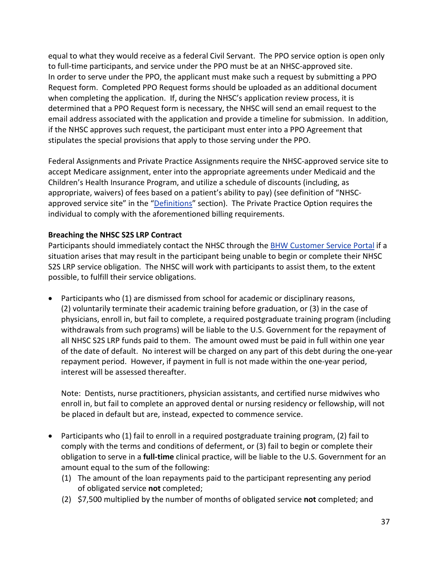equal to what they would receive as a federal Civil Servant. The PPO service option is open only to full-time participants, and service under the PPO must be at an NHSC-approved site. In order to serve under the PPO, the applicant must make such a request by submitting a PPO Request form. Completed PPO Request forms should be uploaded as an additional document when completing the application. If, during the NHSC's application review process, it is determined that a PPO Request form is necessary, the NHSC will send an email request to the email address associated with the application and provide a timeline for submission. In addition, if the NHSC approves such request, the participant must enter into a PPO Agreement that stipulates the special provisions that apply to those serving under the PPO.

Federal Assignments and Private Practice Assignments require the NHSC-approved service site to accept Medicare assignment, enter into the appropriate agreements under Medicaid and the Children's Health Insurance Program, and utilize a schedule of discounts (including, as appropriate, waivers) of fees based on a patient's ability to pay) (see definition of "NHSCapproved service site" in the ["Definitions"](#page-46-0) section). The Private Practice Option requires the individual to comply with the aforementioned billing requirements.

#### <span id="page-36-0"></span>**Breaching the NHSC S2S LRP Contract**

Participants should immediately contact the NHSC through the **[BHW Customer Service Portal](https://programportal.hrsa.gov/) if a** situation arises that may result in the participant being unable to begin or complete their NHSC S2S LRP service obligation. The NHSC will work with participants to assist them, to the extent possible, to fulfill their service obligations.

• Participants who (1) are dismissed from school for academic or disciplinary reasons, (2) voluntarily terminate their academic training before graduation, or (3) in the case of physicians, enroll in, but fail to complete, a required postgraduate training program (including withdrawals from such programs) will be liable to the U.S. Government for the repayment of all NHSC S2S LRP funds paid to them. The amount owed must be paid in full within one year of the date of default. No interest will be charged on any part of this debt during the one-year repayment period. However, if payment in full is not made within the one-year period, interest will be assessed thereafter.

Note: Dentists, nurse practitioners, physician assistants, and certified nurse midwives who enroll in, but fail to complete an approved dental or nursing residency or fellowship, will not be placed in default but are, instead, expected to commence service.

- Participants who (1) fail to enroll in a required postgraduate training program, (2) fail to comply with the terms and conditions of deferment, or (3) fail to begin or complete their obligation to serve in a **full-time** clinical practice, will be liable to the U.S. Government for an amount equal to the sum of the following:
	- (1) The amount of the loan repayments paid to the participant representing any period of obligated service **not** completed;
	- (2) \$7,500 multiplied by the number of months of obligated service **not** completed; and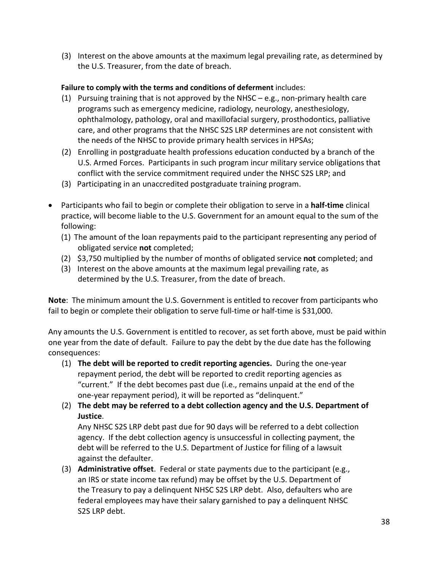(3) Interest on the above amounts at the maximum legal prevailing rate, as determined by the U.S. Treasurer, from the date of breach.

# **Failure to comply with the terms and conditions of deferment** includes:

- (1) Pursuing training that is not approved by the NHSC e.g., non-primary health care programs such as emergency medicine, radiology, neurology, anesthesiology, ophthalmology, pathology, oral and maxillofacial surgery, prosthodontics, palliative care, and other programs that the NHSC S2S LRP determines are not consistent with the needs of the NHSC to provide primary health services in HPSAs;
- (2) Enrolling in postgraduate health professions education conducted by a branch of the U.S. Armed Forces. Participants in such program incur military service obligations that conflict with the service commitment required under the NHSC S2S LRP; and
- (3) Participating in an unaccredited postgraduate training program.
- Participants who fail to begin or complete their obligation to serve in a **half-time** clinical practice, will become liable to the U.S. Government for an amount equal to the sum of the following:
	- (1) The amount of the loan repayments paid to the participant representing any period of obligated service **not** completed;
	- (2) \$3,750 multiplied by the number of months of obligated service **not** completed; and
	- (3) Interest on the above amounts at the maximum legal prevailing rate, as determined by the U.S. Treasurer, from the date of breach.

**Note**: The minimum amount the U.S. Government is entitled to recover from participants who fail to begin or complete their obligation to serve full-time or half-time is \$31,000.

Any amounts the U.S. Government is entitled to recover, as set forth above, must be paid within one year from the date of default. Failure to pay the debt by the due date has the following consequences:

- (1) **The debt will be reported to credit reporting agencies.** During the one-year repayment period, the debt will be reported to credit reporting agencies as "current." If the debt becomes past due (i.e., remains unpaid at the end of the one-year repayment period), it will be reported as "delinquent."
- (2) **The debt may be referred to a debt collection agency and the U.S. Department of Justice**.

Any NHSC S2S LRP debt past due for 90 days will be referred to a debt collection agency. If the debt collection agency is unsuccessful in collecting payment, the debt will be referred to the U.S. Department of Justice for filing of a lawsuit against the defaulter.

(3) **Administrative offset**. Federal or state payments due to the participant (e.g., an IRS or state income tax refund) may be offset by the U.S. Department of the Treasury to pay a delinquent NHSC S2S LRP debt. Also, defaulters who are federal employees may have their salary garnished to pay a delinquent NHSC S2S LRP debt.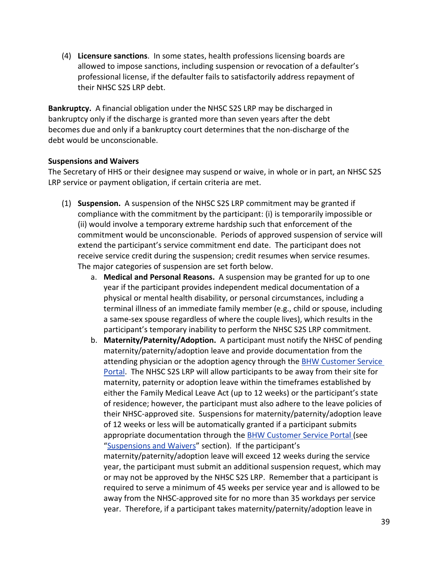(4) **Licensure sanctions**. In some states, health professions licensing boards are allowed to impose sanctions, including suspension or revocation of a defaulter's professional license, if the defaulter fails to satisfactorily address repayment of their NHSC S2S LRP debt.

**Bankruptcy.** A financial obligation under the NHSC S2S LRP may be discharged in bankruptcy only if the discharge is granted more than seven years after the debt becomes due and only if a bankruptcy court determines that the non-discharge of the debt would be unconscionable.

#### <span id="page-38-0"></span>**Suspensions and Waivers**

The Secretary of HHS or their designee may suspend or waive, in whole or in part, an NHSC S2S LRP service or payment obligation, if certain criteria are met.

- <span id="page-38-1"></span>(1) **Suspension.** A suspension of the NHSC S2S LRP commitment may be granted if compliance with the commitment by the participant: (i) is temporarily impossible or (ii) would involve a temporary extreme hardship such that enforcement of the commitment would be unconscionable. Periods of approved suspension of service will extend the participant's service commitment end date. The participant does not receive service credit during the suspension; credit resumes when service resumes. The major categories of suspension are set forth below.
	- a. **Medical and Personal Reasons.** A suspension may be granted for up to one year if the participant provides independent medical documentation of a physical or mental health disability, or personal circumstances, including a terminal illness of an immediate family member (e.g., child or spouse, including a same-sex spouse regardless of where the couple lives), which results in the participant's temporary inability to perform the NHSC S2S LRP commitment.
	- b. **Maternity/Paternity/Adoption.** A participant must notify the NHSC of pending maternity/paternity/adoption leave and provide documentation from the attending physician or the adoption agency through th[e BHW Customer Service](https://programportal.hrsa.gov/)  [Portal.](https://programportal.hrsa.gov/) The NHSC S2S LRP will allow participants to be away from their site for maternity, paternity or adoption leave within the timeframes established by either the Family Medical Leave Act (up to 12 weeks) or the participant's state of residence; however, the participant must also adhere to the leave policies of their NHSC-approved site. Suspensions for maternity/paternity/adoption leave of 12 weeks or less will be automatically granted if a participant submits appropriate documentation through the [BHW Customer Service Portal](https://programportal.hrsa.gov/) (see ["Suspensions and Waivers"](#page-38-0) section). If the participant's maternity/paternity/adoption leave will exceed 12 weeks during the service year, the participant must submit an additional suspension request, which may or may not be approved by the NHSC S2S LRP. Remember that a participant is required to serve a minimum of 45 weeks per service year and is allowed to be away from the NHSC-approved site for no more than 35 workdays per service

year. Therefore, if a participant takes maternity/paternity/adoption leave in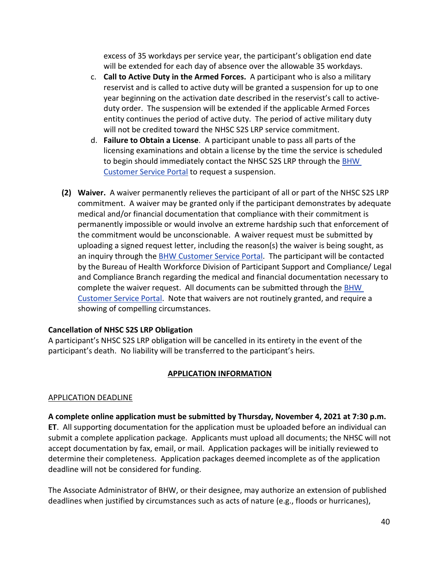excess of 35 workdays per service year, the participant's obligation end date will be extended for each day of absence over the allowable 35 workdays.

- c. **Call to Active Duty in the Armed Forces.** A participant who is also a military reservist and is called to active duty will be granted a suspension for up to one year beginning on the activation date described in the reservist's call to activeduty order. The suspension will be extended if the applicable Armed Forces entity continues the period of active duty. The period of active military duty will not be credited toward the NHSC S2S LRP service commitment.
- d. **Failure to Obtain a License**. A participant unable to pass all parts of the licensing examinations and obtain a license by the time the service is scheduled to begin should immediately contact the NHSC S2S LRP through the BHW [Customer Service Portal](https://programportal.hrsa.gov/) to request a suspension.
- **(2) Waiver.** A waiver permanently relieves the participant of all or part of the NHSC S2S LRP commitment. A waiver may be granted only if the participant demonstrates by adequate medical and/or financial documentation that compliance with their commitment is permanently impossible or would involve an extreme hardship such that enforcement of the commitment would be unconscionable. A waiver request must be submitted by uploading a signed request letter, including the reason(s) the waiver is being sought, as an inquiry through the [BHW Customer Service Portal.](https://programportal.hrsa.gov/extranet/landing.seam) The participant will be contacted by the Bureau of Health Workforce Division of Participant Support and Compliance/ Legal and Compliance Branch regarding the medical and financial documentation necessary to complete the waiver request. All documents can be submitted through the [BHW](https://programportal.hrsa.gov/extranet/landing.seam)  [Customer Service Portal.](https://programportal.hrsa.gov/extranet/landing.seam) Note that waivers are not routinely granted, and require a showing of compelling circumstances.

# **Cancellation of NHSC S2S LRP Obligation**

A participant's NHSC S2S LRP obligation will be cancelled in its entirety in the event of the participant's death. No liability will be transferred to the participant's heirs.

# <span id="page-39-2"></span>**APPLICATION INFORMATION**

#### <span id="page-39-1"></span><span id="page-39-0"></span>APPLICATION DEADLINE

**A complete online application must be submitted by Thursday, November 4, 2021 at 7:30 p.m. ET**. All supporting documentation for the application must be uploaded before an individual can submit a complete application package. Applicants must upload all documents; the NHSC will not accept documentation by fax, email, or mail. Application packages will be initially reviewed to determine their completeness. Application packages deemed incomplete as of the application deadline will not be considered for funding.

The Associate Administrator of BHW, or their designee, may authorize an extension of published deadlines when justified by circumstances such as acts of nature (e.g., floods or hurricanes),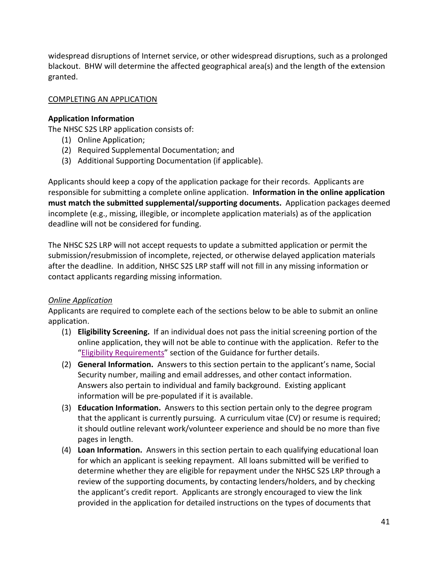widespread disruptions of Internet service, or other widespread disruptions, such as a prolonged blackout. BHW will determine the affected geographical area(s) and the length of the extension granted.

# <span id="page-40-0"></span>COMPLETING AN APPLICATION

# **Application Information**

The NHSC S2S LRP application consists of:

- (1) Online Application;
- (2) Required Supplemental Documentation; and
- (3) Additional Supporting Documentation (if applicable).

Applicants should keep a copy of the application package for their records. Applicants are responsible for submitting a complete online application. **Information in the online application must match the submitted supplemental/supporting documents.** Application packages deemed incomplete (e.g., missing, illegible, or incomplete application materials) as of the application deadline will not be considered for funding.

The NHSC S2S LRP will not accept requests to update a submitted application or permit the submission/resubmission of incomplete, rejected, or otherwise delayed application materials after the deadline. In addition, NHSC S2S LRP staff will not fill in any missing information or contact applicants regarding missing information.

# *Online Application*

Applicants are required to complete each of the sections below to be able to submit an online application.

- (1) **Eligibility Screening.** If an individual does not pass the initial screening portion of the online application, they will not be able to continue with the application. Refer to the ["Eligibility Requirements"](#page-6-1) section of the Guidance for further details.
- (2) **General Information.** Answers to this section pertain to the applicant's name, Social Security number, mailing and email addresses, and other contact information. Answers also pertain to individual and family background. Existing applicant information will be pre-populated if it is available.
- (3) **Education Information.** Answers to this section pertain only to the degree program that the applicant is currently pursuing. A curriculum vitae (CV) or resume is required; it should outline relevant work/volunteer experience and should be no more than five pages in length.
- (4) **Loan Information.** Answers in this section pertain to each qualifying educational loan for which an applicant is seeking repayment. All loans submitted will be verified to determine whether they are eligible for repayment under the NHSC S2S LRP through a review of the supporting documents, by contacting lenders/holders, and by checking the applicant's credit report. Applicants are strongly encouraged to view the link provided in the application for detailed instructions on the types of documents that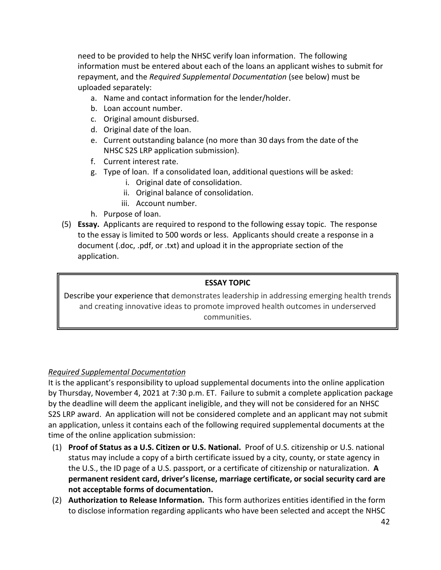need to be provided to help the NHSC verify loan information. The following information must be entered about each of the loans an applicant wishes to submit for repayment, and the *Required Supplemental Documentation* (see below) must be uploaded separately:

- a. Name and contact information for the lender/holder.
- b. Loan account number.
- c. Original amount disbursed.
- d. Original date of the loan.
- e. Current outstanding balance (no more than 30 days from the date of the NHSC S2S LRP application submission).
- f. Current interest rate.
- g. Type of loan. If a consolidated loan, additional questions will be asked:
	- i. Original date of consolidation.
	- ii. Original balance of consolidation.
	- iii. Account number.
- h. Purpose of loan.
- (5) **Essay.** Applicants are required to respond to the following essay topic. The response to the essay is limited to 500 words or less. Applicants should create a response in a document (.doc, .pdf, or .txt) and upload it in the appropriate section of the application.

# **ESSAY TOPIC**

Describe your experience that demonstrates leadership in addressing emerging health trends and creating innovative ideas to promote improved health outcomes in underserved communities.

# *Required Supplemental Documentation*

It is the applicant's responsibility to upload supplemental documents into the online application by Thursday, November 4, 2021 at 7:30 p.m. ET. Failure to submit a complete application package by the deadline will deem the applicant ineligible, and they will not be considered for an NHSC S2S LRP award. An application will not be considered complete and an applicant may not submit an application, unless it contains each of the following required supplemental documents at the time of the online application submission:

- (1) **Proof of Status as a U.S. Citizen or U.S. National.** Proof of U.S. citizenship or U.S. national status may include a copy of a birth certificate issued by a city, county, or state agency in the U.S., the ID page of a U.S. passport, or a certificate of citizenship or naturalization. **A permanent resident card, driver's license, marriage certificate, or social security card are not acceptable forms of documentation.**
- (2) **Authorization to Release Information.** This form authorizes entities identified in the form to disclose information regarding applicants who have been selected and accept the NHSC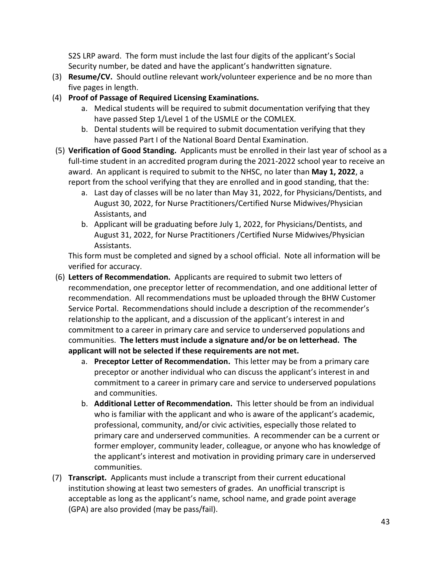S2S LRP award. The form must include the last four digits of the applicant's Social Security number, be dated and have the applicant's handwritten signature.

- (3) **Resume/CV.** Should outline relevant work/volunteer experience and be no more than five pages in length.
- (4) **Proof of Passage of Required Licensing Examinations.**
	- a. Medical students will be required to submit documentation verifying that they have passed Step 1/Level 1 of the USMLE or the COMLEX.
	- b. Dental students will be required to submit documentation verifying that they have passed Part I of the National Board Dental Examination.
- (5) **Verification of Good Standing.** Applicants must be enrolled in their last year of school as a full-time student in an accredited program during the 2021-2022 school year to receive an award. An applicant is required to submit to the NHSC, no later than **May 1, 2022**, a report from the school verifying that they are enrolled and in good standing, that the:
	- a. Last day of classes will be no later than May 31, 2022, for Physicians/Dentists, and August 30, 2022, for Nurse Practitioners/Certified Nurse Midwives/Physician Assistants, and
	- b. Applicant will be graduating before July 1, 2022, for Physicians/Dentists, and August 31, 2022, for Nurse Practitioners /Certified Nurse Midwives/Physician Assistants.

This form must be completed and signed by a school official. Note all information will be verified for accuracy.

- (6) **Letters of Recommendation.** Applicants are required to submit two letters of recommendation, one preceptor letter of recommendation, and one additional letter of recommendation. All recommendations must be uploaded through the BHW Customer Service Portal. Recommendations should include a description of the recommender's relationship to the applicant, and a discussion of the applicant's interest in and commitment to a career in primary care and service to underserved populations and communities. **The letters must include a signature and/or be on letterhead. The applicant will not be selected if these requirements are not met.**
	- a. **Preceptor Letter of Recommendation.** This letter may be from a primary care preceptor or another individual who can discuss the applicant's interest in and commitment to a career in primary care and service to underserved populations and communities.
	- b. **Additional Letter of Recommendation.** This letter should be from an individual who is familiar with the applicant and who is aware of the applicant's academic, professional, community, and/or civic activities, especially those related to primary care and underserved communities. A recommender can be a current or former employer, community leader, colleague, or anyone who has knowledge of the applicant's interest and motivation in providing primary care in underserved communities.
- (7) **Transcript.** Applicants must include a transcript from their current educational institution showing at least two semesters of grades. An unofficial transcript is acceptable as long as the applicant's name, school name, and grade point average (GPA) are also provided (may be pass/fail).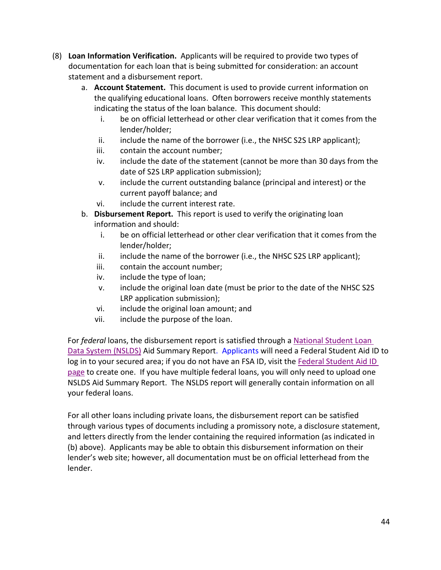- (8) **Loan Information Verification.** Applicants will be required to provide two types of documentation for each loan that is being submitted for consideration: an account statement and a disbursement report.
	- a. **Account Statement.** This document is used to provide current information on the qualifying educational loans. Often borrowers receive monthly statements indicating the status of the loan balance. This document should:
		- i. be on official letterhead or other clear verification that it comes from the lender/holder;
		- ii. include the name of the borrower (i.e., the NHSC S2S LRP applicant);
		- iii. contain the account number;
		- iv. include the date of the statement (cannot be more than 30 days from the date of S2S LRP application submission);
		- v. include the current outstanding balance (principal and interest) or the current payoff balance; and
		- vi. include the current interest rate.
	- b. **Disbursement Report.** This report is used to verify the originating loan information and should:
		- i. be on official letterhead or other clear verification that it comes from the lender/holder;
		- ii. include the name of the borrower (i.e., the NHSC S2S LRP applicant);
		- iii. contain the account number;
		- iv. include the type of loan;
		- v. include the original loan date (must be prior to the date of the NHSC S2S LRP application submission);
		- vi. include the original loan amount; and
		- vii. include the purpose of the loan.

For *federal* loans, the disbursement report is satisfied through a [National Student Loan](https://nslds.ed.gov/nslds/nslds_SA/)  [Data System \(NSLDS\)](https://nslds.ed.gov/nslds/nslds_SA/) Aid Summary Report. Applicants will need a Federal Student Aid ID to log in to your secured area; if you do not have an FSA ID, visit th[e Federal Student Aid ID](https://fsaid.ed.gov/npas/index.htm)  [page](https://fsaid.ed.gov/npas/index.htm) to create one. If you have multiple federal loans, you will only need to upload one NSLDS Aid Summary Report. The NSLDS report will generally contain information on all your federal loans.

For all other loans including private loans, the disbursement report can be satisfied through various types of documents including a promissory note, a disclosure statement, and letters directly from the lender containing the required information (as indicated in (b) above). Applicants may be able to obtain this disbursement information on their lender's web site; however, all documentation must be on official letterhead from the lender.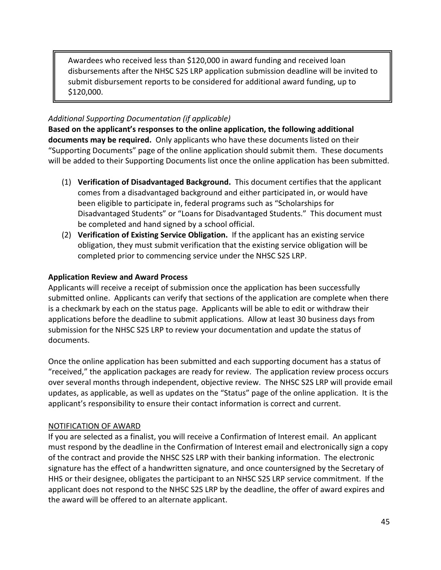Awardees who received less than \$120,000 in award funding and received loan disbursements after the NHSC S2S LRP application submission deadline will be invited to submit disbursement reports to be considered for additional award funding, up to \$120,000.

# *Additional Supporting Documentation (if applicable)*

**Based on the applicant's responses to the online application, the following additional documents may be required.** Only applicants who have these documents listed on their "Supporting Documents" page of the online application should submit them. These documents will be added to their Supporting Documents list once the online application has been submitted.

- (1) **Verification of Disadvantaged Background.** This document certifies that the applicant comes from a disadvantaged background and either participated in, or would have been eligible to participate in, federal programs such as "Scholarships for Disadvantaged Students" or "Loans for Disadvantaged Students." This document must be completed and hand signed by a school official.
- (2) **Verification of Existing Service Obligation.** If the applicant has an existing service obligation, they must submit verification that the existing service obligation will be completed prior to commencing service under the NHSC S2S LRP.

# **Application Review and Award Process**

Applicants will receive a receipt of submission once the application has been successfully submitted online. Applicants can verify that sections of the application are complete when there is a checkmark by each on the status page. Applicants will be able to edit or withdraw their applications before the deadline to submit applications. Allow at least 30 business days from submission for the NHSC S2S LRP to review your documentation and update the status of documents.

Once the online application has been submitted and each supporting document has a status of "received," the application packages are ready for review. The application review process occurs over several months through independent, objective review. The NHSC S2S LRP will provide email updates, as applicable, as well as updates on the "Status" page of the online application. It is the applicant's responsibility to ensure their contact information is correct and current.

# <span id="page-44-0"></span>NOTIFICATION OF AWARD

If you are selected as a finalist, you will receive a Confirmation of Interest email. An applicant must respond by the deadline in the Confirmation of Interest email and electronically sign a copy of the contract and provide the NHSC S2S LRP with their banking information. The electronic signature has the effect of a handwritten signature, and once countersigned by the Secretary of HHS or their designee, obligates the participant to an NHSC S2S LRP service commitment. If the applicant does not respond to the NHSC S2S LRP by the deadline, the offer of award expires and the award will be offered to an alternate applicant.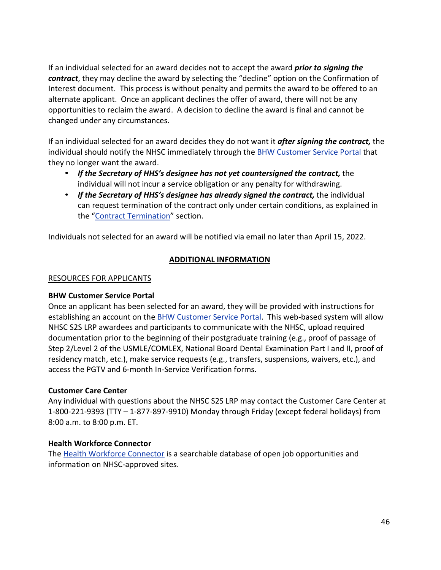If an individual selected for an award decides not to accept the award *prior to signing the contract*, they may decline the award by selecting the "decline" option on the Confirmation of Interest document. This process is without penalty and permits the award to be offered to an alternate applicant. Once an applicant declines the offer of award, there will not be any opportunities to reclaim the award. A decision to decline the award is final and cannot be changed under any circumstances.

If an individual selected for an award decides they do not want it *after signing the contract,* the individual should notify the NHSC immediately through the [BHW Customer Service Portal](https://programportal.hrsa.gov/) that they no longer want the award.

- *If the Secretary of HHS's designee has not yet countersigned the contract,* the individual will not incur a service obligation or any penalty for withdrawing.
- the "Contract [Termination](#page-16-0)" section. • *If the Secretary of HHS's designee has already signed the contract,* the individual can request termination of the contract only under certain conditions, as explained in

<span id="page-45-0"></span>Individuals not selected for an award will be notified via email no later than April 15, 2022.

# **ADDITIONAL INFORMATION**

# <span id="page-45-1"></span>RESOURCES FOR APPLICANTS

# **BHW Customer Service Portal**

Once an applicant has been selected for an award, they will be provided with instructions for establishing an account on the **BHW Customer Service Portal**. This web-based system will allow NHSC S2S LRP awardees and participants to communicate with the NHSC, upload required documentation prior to the beginning of their postgraduate training (e.g., proof of passage of Step 2/Level 2 of the USMLE/COMLEX, National Board Dental Examination Part I and II, proof of residency match, etc.), make service requests (e.g., transfers, suspensions, waivers, etc.), and access the PGTV and 6-month In-Service Verification forms.

# **Customer Care Center**

Any individual with questions about the NHSC S2S LRP may contact the Customer Care Center at 1-800-221-9393 (TTY – 1-877-897-9910) Monday through Friday (except federal holidays) from 8:00 a.m. to 8:00 p.m. ET.

# **Health Workforce Connector**

The [Health Workforce Connector](https://connector.hrsa.gov/) is a searchable database of open job opportunities and information on NHSC-approved sites.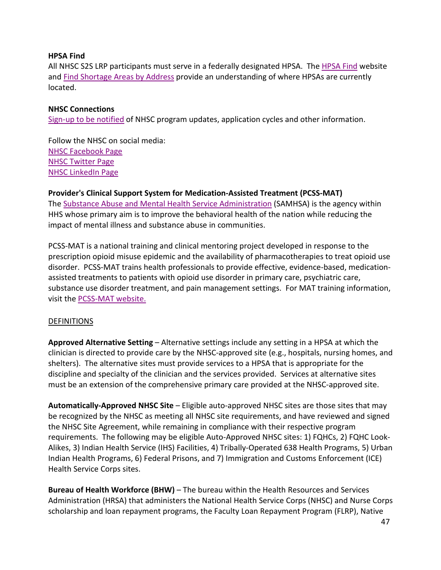#### **HPSA Find**

All NHSC S2S LRP participants must serve in a federally designated HPSA. The [HPSA Find](http://hpsafind.hrsa.gov/) website and [Find Shortage Areas by Address](http://datawarehouse.hrsa.gov/GeoAdvisor/ShortageDesignationAdvisor.aspx) provide an understanding of where HPSAs are currently located.

#### **NHSC Connections**

[Sign-up to be notified](https://public.govdelivery.com/accounts/USHHSHRSA/subscriber/new?topic_id=USHHSHRSA_69) of NHSC program updates, application cycles and other information.

Follow the NHSC on social media: [NHSC Facebook Page](https://www.facebook.com/nationalhealthservicecorps) [NHSC Twitter Page](https://twitter.com/NHSCorps) [NHSC LinkedIn Page](https://www.linkedin.com/company/national-health-service-corps)

**Provider's Clinical Support System for Medication-Assisted Treatment (PCSS-MAT)**  The [Substance Abuse and Mental Health Service Administration](https://www.samhsa.gov/) (SAMHSA) is the agency within HHS whose primary aim is to improve the behavioral health of the nation while reducing the impact of mental illness and substance abuse in communities.

PCSS-MAT is a national training and clinical mentoring project developed in response to the prescription opioid misuse epidemic and the availability of pharmacotherapies to treat opioid use disorder. PCSS-MAT trains health professionals to provide effective, evidence-based, medicationassisted treatments to patients with opioid use disorder in primary care, psychiatric care, substance use disorder treatment, and pain management settings. For MAT training information, visit the [PCSS-MAT website.](https://pcssnow.org/)

#### <span id="page-46-0"></span>DEFINITIONS

**Approved Alternative Setting** – Alternative settings include any setting in a HPSA at which the clinician is directed to provide care by the NHSC-approved site (e.g., hospitals, nursing homes, and shelters). The alternative sites must provide services to a HPSA that is appropriate for the discipline and specialty of the clinician and the services provided. Services at alternative sites must be an extension of the comprehensive primary care provided at the NHSC-approved site.

**Automatically-Approved NHSC Site** – Eligible auto-approved NHSC sites are those sites that may be recognized by the NHSC as meeting all NHSC site requirements, and have reviewed and signed the NHSC Site Agreement, while remaining in compliance with their respective program requirements. The following may be eligible Auto-Approved NHSC sites: 1) FQHCs, 2) FQHC Look-Alikes, 3) Indian Health Service (IHS) Facilities, 4) Tribally-Operated 638 Health Programs, 5) Urban Indian Health Programs, 6) Federal Prisons, and 7) Immigration and Customs Enforcement (ICE) Health Service Corps sites.

**Bureau of Health Workforce (BHW)** – The bureau within the Health Resources and Services Administration (HRSA) that administers the National Health Service Corps (NHSC) and Nurse Corps scholarship and loan repayment programs, the Faculty Loan Repayment Program (FLRP), Native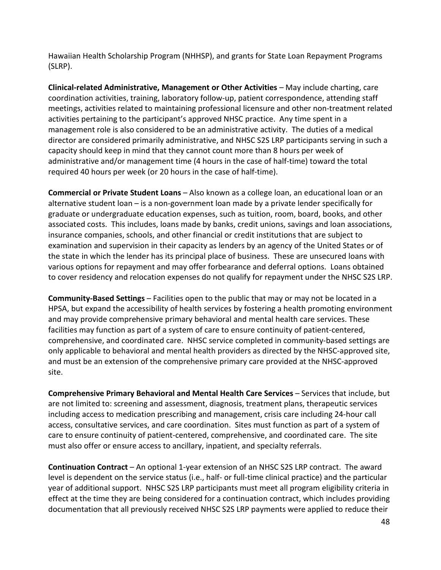Hawaiian Health Scholarship Program (NHHSP), and grants for State Loan Repayment Programs (SLRP).

**Clinical-related Administrative, Management or Other Activities** *–* May include charting, care coordination activities, training, laboratory follow-up, patient correspondence, attending staff meetings, activities related to maintaining professional licensure and other non-treatment related activities pertaining to the participant's approved NHSC practice. Any time spent in a management role is also considered to be an administrative activity. The duties of a medical director are considered primarily administrative, and NHSC S2S LRP participants serving in such a capacity should keep in mind that they cannot count more than 8 hours per week of administrative and/or management time (4 hours in the case of half-time) toward the total required 40 hours per week (or 20 hours in the case of half-time).

**Commercial or Private Student Loans** – Also known as a college loan, an educational loan or an alternative student loan – is a non-government loan made by a private lender specifically for graduate or undergraduate education expenses, such as tuition, room, board, books, and other associated costs. This includes, loans made by banks, credit unions, savings and loan associations, insurance companies, schools, and other financial or credit institutions that are subject to examination and supervision in their capacity as lenders by an agency of the United States or of the state in which the lender has its principal place of business. These are unsecured loans with various options for repayment and may offer forbearance and deferral options. Loans obtained to cover residency and relocation expenses do not qualify for repayment under the NHSC S2S LRP.

<span id="page-47-0"></span>**Community-Based Settings** – Facilities open to the public that may or may not be located in a HPSA, but expand the accessibility of health services by fostering a health promoting environment and may provide comprehensive primary behavioral and mental health care services. These facilities may function as part of a system of care to ensure continuity of patient-centered, comprehensive, and coordinated care. NHSC service completed in community-based settings are only applicable to behavioral and mental health providers as directed by the NHSC-approved site, and must be an extension of the comprehensive primary care provided at the NHSC-approved site.

**Comprehensive Primary Behavioral and Mental Health Care Services** – Services that include, but are not limited to: screening and assessment, diagnosis, treatment plans, therapeutic services including access to medication prescribing and management, crisis care including 24-hour call access, consultative services, and care coordination. Sites must function as part of a system of care to ensure continuity of patient-centered, comprehensive, and coordinated care. The site must also offer or ensure access to ancillary, inpatient, and specialty referrals.

**Continuation Contract** – An optional 1-year extension of an NHSC S2S LRP contract. The award level is dependent on the service status (i.e., half- or full-time clinical practice) and the particular year of additional support. NHSC S2S LRP participants must meet all program eligibility criteria in effect at the time they are being considered for a continuation contract, which includes providing documentation that all previously received NHSC S2S LRP payments were applied to reduce their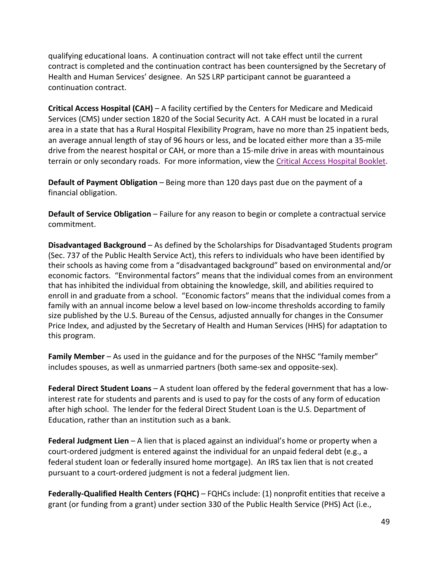qualifying educational loans. A continuation contract will not take effect until the current contract is completed and the continuation contract has been countersigned by the Secretary of Health and Human Services' designee. An S2S LRP participant cannot be guaranteed a continuation contract.

terrain or only secondary roads. For more information, view th[e Critical Access Hospital Booklet](https://www.cms.gov/Outreach-and-Education/Medicare-Learning-Network-MLN/MLNProducts/downloads/critaccesshospfctsht.pdf). **Critical Access Hospital (CAH)** – A facility certified by the Centers for Medicare and Medicaid Services (CMS) under section 1820 of the Social Security Act. A CAH must be located in a rural area in a state that has a Rural Hospital Flexibility Program, have no more than 25 inpatient beds, an average annual length of stay of 96 hours or less, and be located either more than a 35-mile drive from the nearest hospital or CAH, or more than a 15-mile drive in areas with mountainous

**Default of Payment Obligation** – Being more than 120 days past due on the payment of a financial obligation.

**Default of Service Obligation** – Failure for any reason to begin or complete a contractual service commitment.

**Disadvantaged Background** – As defined by the Scholarships for Disadvantaged Students program (Sec. 737 of the Public Health Service Act), this refers to individuals who have been identified by their schools as having come from a "disadvantaged background" based on environmental and/or economic factors. "Environmental factors" means that the individual comes from an environment that has inhibited the individual from obtaining the knowledge, skill, and abilities required to enroll in and graduate from a school. "Economic factors" means that the individual comes from a family with an annual income below a level based on low-income thresholds according to family size published by the U.S. Bureau of the Census, adjusted annually for changes in the Consumer Price Index, and adjusted by the Secretary of Health and Human Services (HHS) for adaptation to this program.

**Family Member** – As used in the guidance and for the purposes of the NHSC "family member" includes spouses, as well as unmarried partners (both same-sex and opposite-sex).

**Federal Direct Student Loans** – A student loan offered by the federal government that has a lowinterest rate for students and parents and is used to pay for the costs of any form of education after high school. The lender for the federal Direct Student Loan is the U.S. Department of Education, rather than an institution such as a bank.

**Federal Judgment Lien** – A lien that is placed against an individual's home or property when a court-ordered judgment is entered against the individual for an unpaid federal debt (e.g., a federal student loan or federally insured home mortgage). An IRS tax lien that is not created pursuant to a court-ordered judgment is not a federal judgment lien.

**Federally-Qualified Health Centers (FQHC)** – FQHCs include: (1) nonprofit entities that receive a grant (or funding from a grant) under section 330 of the Public Health Service (PHS) Act (i.e.,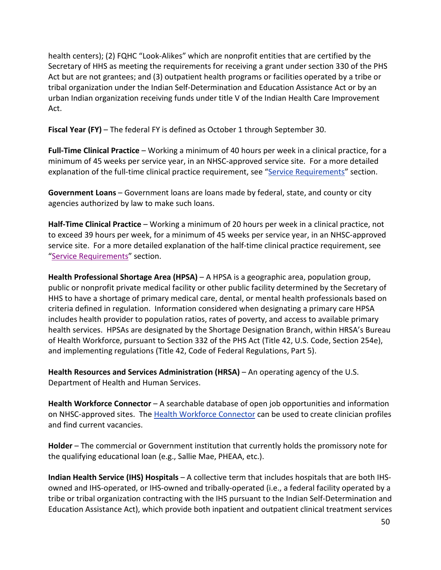health centers); (2) FQHC "Look-Alikes" which are nonprofit entities that are certified by the Secretary of HHS as meeting the requirements for receiving a grant under section 330 of the PHS Act but are not grantees; and (3) outpatient health programs or facilities operated by a tribe or tribal organization under the Indian Self-Determination and Education Assistance Act or by an urban Indian organization receiving funds under title V of the Indian Health Care Improvement Act.

**Fiscal Year (FY)** – The federal FY is defined as October 1 through September 30.

explanation of the full-time clinical practice requirement, see ["Service Requirements](file://gss-fs2/Users_D-H/DFabiyi-King/2019%20BHW/2019%20S2S/S2S%20%20APG%20Submitted%20%20to%20IA/Requirements%20for%20Full-Time%20or%20Half-Time%20Clinical%20Practice)" section. **Full-Time Clinical Practice** – Working a minimum of 40 hours per week in a clinical practice, for a minimum of 45 weeks per service year, in an NHSC-approved service site. For a more detailed

**Government Loans** – Government loans are loans made by federal, state, and county or city agencies authorized by law to make such loans.

"Service Requirements" section. **Half-Time Clinical Practice** – Working a minimum of 20 hours per week in a clinical practice, not to exceed 39 hours per week, for a minimum of 45 weeks per service year, in an NHSC-approved service site. For a more detailed explanation of the half-time clinical practice requirement, see

**Health Professional Shortage Area (HPSA)** – A HPSA is a geographic area, population group, public or nonprofit private medical facility or other public facility determined by the Secretary of HHS to have a shortage of primary medical care, dental, or mental health professionals based on criteria defined in regulation. Information considered when designating a primary care HPSA includes health provider to population ratios, rates of poverty, and access to available primary health services. HPSAs are designated by the Shortage Designation Branch, within HRSA's Bureau of Health Workforce, pursuant to Section 332 of the PHS Act (Title 42, U.S. Code, Section 254e), and implementing regulations (Title 42, Code of Federal Regulations, Part 5).

**Health Resources and Services Administration (HRSA)** – An operating agency of the U.S. Department of Health and Human Services.

Health Workforce Connector – A searchable database of open job opportunities and information on NHSC-approved sites. The **Health Workforce Connector** can be used to create clinician profiles and find current vacancies.

**Holder** – The commercial or Government institution that currently holds the promissory note for the qualifying educational loan (e.g., Sallie Mae, PHEAA, etc.).

**Indian Health Service (IHS) Hospitals** – A collective term that includes hospitals that are both IHSowned and IHS-operated, or IHS-owned and tribally-operated (i.e., a federal facility operated by a tribe or tribal organization contracting with the IHS pursuant to the Indian Self-Determination and Education Assistance Act), which provide both inpatient and outpatient clinical treatment services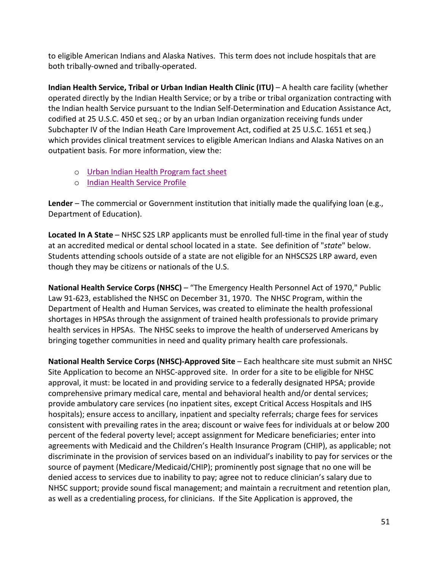to eligible American Indians and Alaska Natives. This term does not include hospitals that are both tribally-owned and tribally-operated.

**Indian Health Service, Tribal or Urban Indian Health Clinic (ITU)** – A health care facility (whether operated directly by the Indian Health Service; or by a tribe or tribal organization contracting with the Indian health Service pursuant to the Indian Self-Determination and Education Assistance Act, codified at 25 U.S.C. 450 et seq.; or by an urban Indian organization receiving funds under Subchapter IV of the Indian Heath Care Improvement Act, codified at 25 U.S.C. 1651 et seq.) which provides clinical treatment services to eligible American Indians and Alaska Natives on an outpatient basis. For more information, view the:

- o [Urban Indian Health Program fact sheet](https://www.ihs.gov/newsroom/factsheets/uihp/)
- o [Indian Health Service Profile](https://www.ihs.gov/newsroom/index.cfm/factsheets/ihsprofile/)

**Lender** – The commercial or Government institution that initially made the qualifying loan (e.g., Department of Education).

**Located In A State** – NHSC S2S LRP applicants must be enrolled full-time in the final year of study at an accredited medical or dental school located in a state. See definition of "*state*" below. Students attending schools outside of a state are not eligible for an NHSCS2S LRP award, even though they may be citizens or nationals of the U.S.

**National Health Service Corps (NHSC)** – "The Emergency Health Personnel Act of 1970," Public Law 91-623, established the NHSC on December 31, 1970. The NHSC Program, within the Department of Health and Human Services, was created to eliminate the health professional shortages in HPSAs through the assignment of trained health professionals to provide primary health services in HPSAs. The NHSC seeks to improve the health of underserved Americans by bringing together communities in need and quality primary health care professionals.

**National Health Service Corps (NHSC)-Approved Site** – Each healthcare site must submit an NHSC Site Application to become an NHSC-approved site. In order for a site to be eligible for NHSC approval, it must: be located in and providing service to a federally designated HPSA; provide comprehensive primary medical care, mental and behavioral health and/or dental services; provide ambulatory care services (no inpatient sites, except Critical Access Hospitals and IHS hospitals); ensure access to ancillary, inpatient and specialty referrals; charge fees for services consistent with prevailing rates in the area; discount or waive fees for individuals at or below 200 percent of the federal poverty level; accept assignment for Medicare beneficiaries; enter into agreements with Medicaid and the Children's Health Insurance Program (CHIP), as applicable; not discriminate in the provision of services based on an individual's inability to pay for services or the source of payment (Medicare/Medicaid/CHIP); prominently post signage that no one will be denied access to services due to inability to pay; agree not to reduce clinician's salary due to NHSC support; provide sound fiscal management; and maintain a recruitment and retention plan, as well as a credentialing process, for clinicians. If the Site Application is approved, the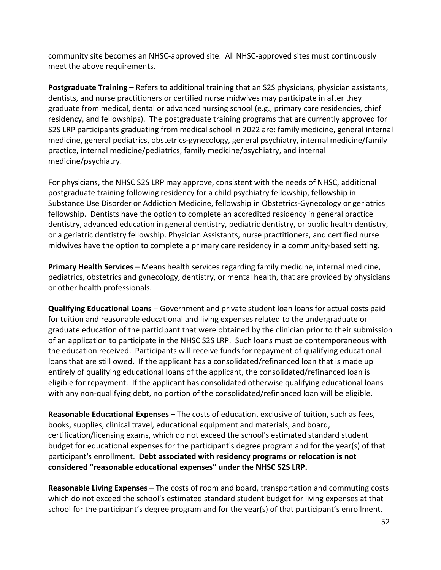community site becomes an NHSC-approved site. All NHSC-approved sites must continuously meet the above requirements.

**Postgraduate Training** – Refers to additional training that an S2S physicians, physician assistants, dentists, and nurse practitioners or certified nurse midwives may participate in after they graduate from medical, dental or advanced nursing school (e.g., primary care residencies, chief residency, and fellowships). The postgraduate training programs that are currently approved for S2S LRP participants graduating from medical school in 2022 are: family medicine, general internal medicine, general pediatrics, obstetrics-gynecology, general psychiatry, internal medicine/family practice, internal medicine/pediatrics, family medicine/psychiatry, and internal medicine/psychiatry.

For physicians, the NHSC S2S LRP may approve, consistent with the needs of NHSC, additional postgraduate training following residency for a child psychiatry fellowship, fellowship in Substance Use Disorder or Addiction Medicine, fellowship in Obstetrics-Gynecology or geriatrics fellowship. Dentists have the option to complete an accredited residency in general practice dentistry, advanced education in general dentistry, pediatric dentistry, or public health dentistry, or a geriatric dentistry fellowship. Physician Assistants, nurse practitioners, and certified nurse midwives have the option to complete a primary care residency in a community-based setting.

**Primary Health Services** – Means health services regarding family medicine, internal medicine, pediatrics, obstetrics and gynecology, dentistry, or mental health, that are provided by physicians or other health professionals.

**Qualifying Educational Loans** – Government and private student loan loans for actual costs paid for tuition and reasonable educational and living expenses related to the undergraduate or graduate education of the participant that were obtained by the clinician prior to their submission of an application to participate in the NHSC S2S LRP. Such loans must be contemporaneous with the education received. Participants will receive funds for repayment of qualifying educational loans that are still owed. If the applicant has a consolidated/refinanced loan that is made up entirely of qualifying educational loans of the applicant, the consolidated/refinanced loan is eligible for repayment. If the applicant has consolidated otherwise qualifying educational loans with any non-qualifying debt, no portion of the consolidated/refinanced loan will be eligible.

**Reasonable Educational Expenses** – The costs of education, exclusive of tuition, such as fees, books, supplies, clinical travel, educational equipment and materials, and board, certification/licensing exams, which do not exceed the school's estimated standard student budget for educational expenses for the participant's degree program and for the year(s) of that participant's enrollment. **Debt associated with residency programs or relocation is not considered "reasonable educational expenses" under the NHSC S2S LRP.**

**Reasonable Living Expenses** – The costs of room and board, transportation and commuting costs which do not exceed the school's estimated standard student budget for living expenses at that school for the participant's degree program and for the year(s) of that participant's enrollment.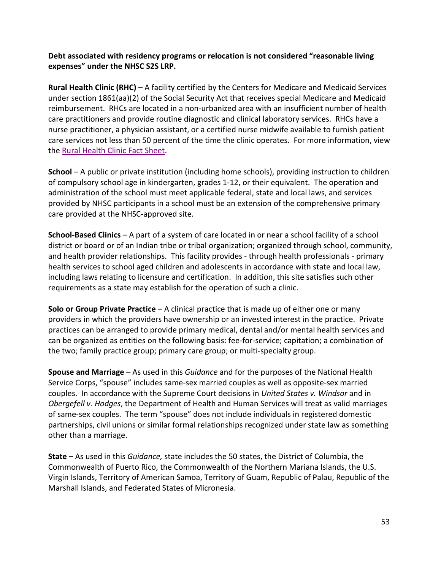**Debt associated with residency programs or relocation is not considered "reasonable living expenses" under the NHSC S2S LRP.**

the **Rural Health Clinic Fact Sheet**. **Rural Health Clinic (RHC)** – A facility certified by the Centers for Medicare and Medicaid Services under section 1861(aa)(2) of the Social Security Act that receives special Medicare and Medicaid reimbursement. RHCs are located in a non-urbanized area with an insufficient number of health care practitioners and provide routine diagnostic and clinical laboratory services. RHCs have a nurse practitioner, a physician assistant, or a certified nurse midwife available to furnish patient care services not less than 50 percent of the time the clinic operates. For more information, view

**School** – A public or private institution (including home schools), providing instruction to children of compulsory school age in kindergarten, grades 1-12, or their equivalent. The operation and administration of the school must meet applicable federal, state and local laws, and services provided by NHSC participants in a school must be an extension of the comprehensive primary care provided at the NHSC-approved site.

**School-Based Clinics** – A part of a system of care located in or near a school facility of a school district or board or of an Indian tribe or tribal organization; organized through school, community, and health provider relationships. This facility provides - through health professionals - primary health services to school aged children and adolescents in accordance with state and local law, including laws relating to licensure and certification. In addition, this site satisfies such other requirements as a state may establish for the operation of such a clinic.

**Solo or Group Private Practice** – A clinical practice that is made up of either one or many providers in which the providers have ownership or an invested interest in the practice. Private practices can be arranged to provide primary medical, dental and/or mental health services and can be organized as entities on the following basis: fee-for-service; capitation; a combination of the two; family practice group; primary care group; or multi-specialty group.

**Spouse and Marriage** – As used in this *Guidance* and for the purposes of the National Health Service Corps, "spouse" includes same-sex married couples as well as opposite-sex married couples. In accordance with the Supreme Court decisions in *United States v. Windsor* and in *Obergefell v. Hodges*, the Department of Health and Human Services will treat as valid marriages of same-sex couples. The term "spouse" does not include individuals in registered domestic partnerships, civil unions or similar formal relationships recognized under state law as something other than a marriage.

**State** – As used in this *Guidance,* state includes the 50 states, the District of Columbia, the Commonwealth of Puerto Rico, the Commonwealth of the Northern Mariana Islands, the U.S. Virgin Islands, Territory of American Samoa, Territory of Guam, Republic of Palau, Republic of the Marshall Islands, and Federated States of Micronesia.